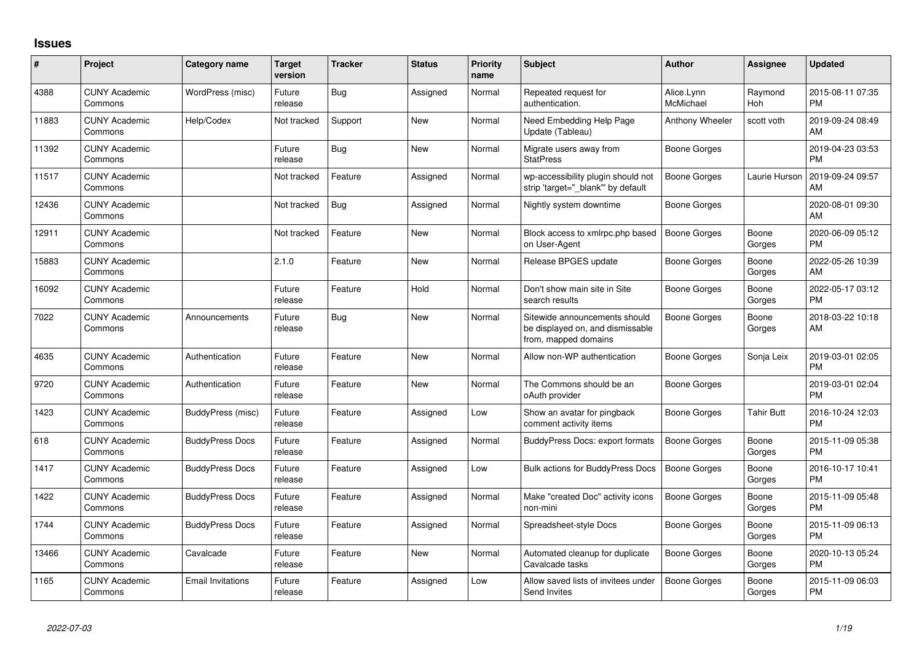## **Issues**

| #     | Project                         | <b>Category name</b>     | <b>Target</b><br>version | <b>Tracker</b> | <b>Status</b> | Priority<br>name | <b>Subject</b>                                                                            | <b>Author</b>           | <b>Assignee</b> | <b>Updated</b>                |
|-------|---------------------------------|--------------------------|--------------------------|----------------|---------------|------------------|-------------------------------------------------------------------------------------------|-------------------------|-----------------|-------------------------------|
| 4388  | <b>CUNY Academic</b><br>Commons | WordPress (misc)         | Future<br>release        | Bug            | Assigned      | Normal           | Repeated request for<br>authentication.                                                   | Alice.Lynn<br>McMichael | Raymond<br>Hoh  | 2015-08-11 07:35<br><b>PM</b> |
| 11883 | <b>CUNY Academic</b><br>Commons | Help/Codex               | Not tracked              | Support        | New           | Normal           | Need Embedding Help Page<br>Update (Tableau)                                              | Anthony Wheeler         | scott voth      | 2019-09-24 08:49<br>AM        |
| 11392 | <b>CUNY Academic</b><br>Commons |                          | Future<br>release        | Bug            | New           | Normal           | Migrate users away from<br><b>StatPress</b>                                               | Boone Gorges            |                 | 2019-04-23 03:53<br><b>PM</b> |
| 11517 | <b>CUNY Academic</b><br>Commons |                          | Not tracked              | Feature        | Assigned      | Normal           | wp-accessibility plugin should not<br>strip 'target=" blank" by default                   | Boone Gorges            | Laurie Hurson   | 2019-09-24 09:57<br>AM        |
| 12436 | <b>CUNY Academic</b><br>Commons |                          | Not tracked              | <b>Bug</b>     | Assigned      | Normal           | Nightly system downtime                                                                   | <b>Boone Gorges</b>     |                 | 2020-08-01 09:30<br>AM        |
| 12911 | <b>CUNY Academic</b><br>Commons |                          | Not tracked              | Feature        | New           | Normal           | Block access to xmlrpc.php based<br>on User-Agent                                         | <b>Boone Gorges</b>     | Boone<br>Gorges | 2020-06-09 05:12<br>PM        |
| 15883 | <b>CUNY Academic</b><br>Commons |                          | 2.1.0                    | Feature        | <b>New</b>    | Normal           | Release BPGES update                                                                      | Boone Gorges            | Boone<br>Gorges | 2022-05-26 10:39<br>AM.       |
| 16092 | <b>CUNY Academic</b><br>Commons |                          | Future<br>release        | Feature        | Hold          | Normal           | Don't show main site in Site<br>search results                                            | Boone Gorges            | Boone<br>Gorges | 2022-05-17 03:12<br><b>PM</b> |
| 7022  | <b>CUNY Academic</b><br>Commons | Announcements            | Future<br>release        | Bug            | <b>New</b>    | Normal           | Sitewide announcements should<br>be displayed on, and dismissable<br>from, mapped domains | Boone Gorges            | Boone<br>Gorges | 2018-03-22 10:18<br>AM        |
| 4635  | <b>CUNY Academic</b><br>Commons | Authentication           | Future<br>release        | Feature        | <b>New</b>    | Normal           | Allow non-WP authentication                                                               | Boone Gorges            | Sonja Leix      | 2019-03-01 02:05<br><b>PM</b> |
| 9720  | <b>CUNY Academic</b><br>Commons | Authentication           | Future<br>release        | Feature        | <b>New</b>    | Normal           | The Commons should be an<br>oAuth provider                                                | Boone Gorges            |                 | 2019-03-01 02:04<br><b>PM</b> |
| 1423  | <b>CUNY Academic</b><br>Commons | BuddyPress (misc)        | Future<br>release        | Feature        | Assigned      | Low              | Show an avatar for pingback<br>comment activity items                                     | Boone Gorges            | Tahir Butt      | 2016-10-24 12:03<br><b>PM</b> |
| 618   | <b>CUNY Academic</b><br>Commons | <b>BuddyPress Docs</b>   | Future<br>release        | Feature        | Assigned      | Normal           | <b>BuddyPress Docs: export formats</b>                                                    | Boone Gorges            | Boone<br>Gorges | 2015-11-09 05:38<br><b>PM</b> |
| 1417  | <b>CUNY Academic</b><br>Commons | <b>BuddyPress Docs</b>   | Future<br>release        | Feature        | Assigned      | Low              | Bulk actions for BuddyPress Docs                                                          | <b>Boone Gorges</b>     | Boone<br>Gorges | 2016-10-17 10:41<br><b>PM</b> |
| 1422  | <b>CUNY Academic</b><br>Commons | <b>BuddyPress Docs</b>   | Future<br>release        | Feature        | Assigned      | Normal           | Make "created Doc" activity icons<br>non-mini                                             | <b>Boone Gorges</b>     | Boone<br>Gorges | 2015-11-09 05:48<br><b>PM</b> |
| 1744  | <b>CUNY Academic</b><br>Commons | <b>BuddyPress Docs</b>   | Future<br>release        | Feature        | Assigned      | Normal           | Spreadsheet-style Docs                                                                    | Boone Gorges            | Boone<br>Gorges | 2015-11-09 06:13<br><b>PM</b> |
| 13466 | <b>CUNY Academic</b><br>Commons | Cavalcade                | Future<br>release        | Feature        | New           | Normal           | Automated cleanup for duplicate<br>Cavalcade tasks                                        | Boone Gorges            | Boone<br>Gorges | 2020-10-13 05:24<br><b>PM</b> |
| 1165  | <b>CUNY Academic</b><br>Commons | <b>Email Invitations</b> | Future<br>release        | Feature        | Assigned      | Low              | Allow saved lists of invitees under<br>Send Invites                                       | <b>Boone Gorges</b>     | Boone<br>Gorges | 2015-11-09 06:03<br>PM        |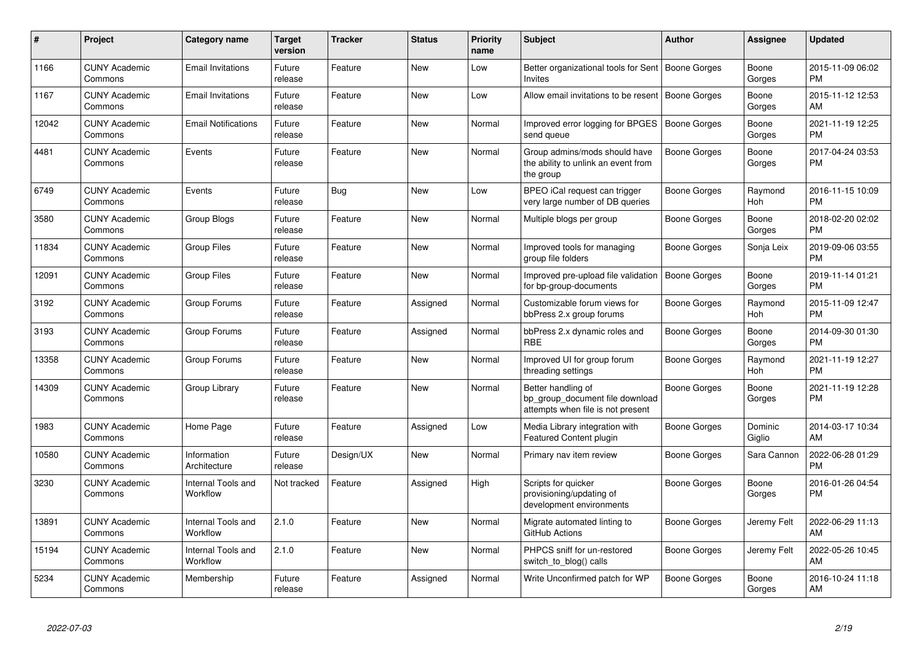| #     | <b>Project</b>                  | Category name                  | <b>Target</b><br>version | <b>Tracker</b> | <b>Status</b> | <b>Priority</b><br>name | <b>Subject</b>                                                                             | <b>Author</b>       | Assignee          | <b>Updated</b>                |
|-------|---------------------------------|--------------------------------|--------------------------|----------------|---------------|-------------------------|--------------------------------------------------------------------------------------------|---------------------|-------------------|-------------------------------|
| 1166  | <b>CUNY Academic</b><br>Commons | <b>Email Invitations</b>       | Future<br>release        | Feature        | <b>New</b>    | Low                     | Better organizational tools for Sent   Boone Gorges<br>Invites                             |                     | Boone<br>Gorges   | 2015-11-09 06:02<br><b>PM</b> |
| 1167  | <b>CUNY Academic</b><br>Commons | <b>Email Invitations</b>       | Future<br>release        | Feature        | <b>New</b>    | Low                     | Allow email invitations to be resent                                                       | Boone Gorges        | Boone<br>Gorges   | 2015-11-12 12:53<br>AM        |
| 12042 | <b>CUNY Academic</b><br>Commons | <b>Email Notifications</b>     | Future<br>release        | Feature        | <b>New</b>    | Normal                  | Improved error logging for BPGES<br>send queue                                             | <b>Boone Gorges</b> | Boone<br>Gorges   | 2021-11-19 12:25<br><b>PM</b> |
| 4481  | <b>CUNY Academic</b><br>Commons | Events                         | Future<br>release        | Feature        | <b>New</b>    | Normal                  | Group admins/mods should have<br>the ability to unlink an event from<br>the group          | Boone Gorges        | Boone<br>Gorges   | 2017-04-24 03:53<br><b>PM</b> |
| 6749  | <b>CUNY Academic</b><br>Commons | Events                         | Future<br>release        | Bug            | New           | Low                     | BPEO iCal request can trigger<br>very large number of DB queries                           | Boone Gorges        | Raymond<br>Hoh    | 2016-11-15 10:09<br><b>PM</b> |
| 3580  | <b>CUNY Academic</b><br>Commons | Group Blogs                    | Future<br>release        | Feature        | New           | Normal                  | Multiple blogs per group                                                                   | Boone Gorges        | Boone<br>Gorges   | 2018-02-20 02:02<br><b>PM</b> |
| 11834 | <b>CUNY Academic</b><br>Commons | <b>Group Files</b>             | Future<br>release        | Feature        | <b>New</b>    | Normal                  | Improved tools for managing<br>group file folders                                          | Boone Gorges        | Sonja Leix        | 2019-09-06 03:55<br><b>PM</b> |
| 12091 | <b>CUNY Academic</b><br>Commons | <b>Group Files</b>             | Future<br>release        | Feature        | <b>New</b>    | Normal                  | Improved pre-upload file validation<br>for bp-group-documents                              | <b>Boone Gorges</b> | Boone<br>Gorges   | 2019-11-14 01:21<br><b>PM</b> |
| 3192  | <b>CUNY Academic</b><br>Commons | Group Forums                   | Future<br>release        | Feature        | Assigned      | Normal                  | Customizable forum views for<br>bbPress 2.x group forums                                   | Boone Gorges        | Raymond<br>Hoh    | 2015-11-09 12:47<br><b>PM</b> |
| 3193  | <b>CUNY Academic</b><br>Commons | Group Forums                   | Future<br>release        | Feature        | Assigned      | Normal                  | bbPress 2.x dynamic roles and<br><b>RBE</b>                                                | Boone Gorges        | Boone<br>Gorges   | 2014-09-30 01:30<br><b>PM</b> |
| 13358 | <b>CUNY Academic</b><br>Commons | Group Forums                   | Future<br>release        | Feature        | New           | Normal                  | Improved UI for group forum<br>threading settings                                          | Boone Gorges        | Raymond<br>Hoh    | 2021-11-19 12:27<br><b>PM</b> |
| 14309 | <b>CUNY Academic</b><br>Commons | Group Library                  | Future<br>release        | Feature        | New           | Normal                  | Better handling of<br>bp group document file download<br>attempts when file is not present | Boone Gorges        | Boone<br>Gorges   | 2021-11-19 12:28<br><b>PM</b> |
| 1983  | <b>CUNY Academic</b><br>Commons | Home Page                      | Future<br>release        | Feature        | Assigned      | Low                     | Media Library integration with<br>Featured Content plugin                                  | Boone Gorges        | Dominic<br>Giglio | 2014-03-17 10:34<br>AM        |
| 10580 | <b>CUNY Academic</b><br>Commons | Information<br>Architecture    | Future<br>release        | Design/UX      | <b>New</b>    | Normal                  | Primary nav item review                                                                    | Boone Gorges        | Sara Cannon       | 2022-06-28 01:29<br><b>PM</b> |
| 3230  | <b>CUNY Academic</b><br>Commons | Internal Tools and<br>Workflow | Not tracked              | Feature        | Assigned      | High                    | Scripts for quicker<br>provisioning/updating of<br>development environments                | <b>Boone Gorges</b> | Boone<br>Gorges   | 2016-01-26 04:54<br><b>PM</b> |
| 13891 | <b>CUNY Academic</b><br>Commons | Internal Tools and<br>Workflow | 2.1.0                    | Feature        | New           | Normal                  | Migrate automated linting to<br>GitHub Actions                                             | Boone Gorges        | Jeremy Felt       | 2022-06-29 11:13<br>AM        |
| 15194 | <b>CUNY Academic</b><br>Commons | Internal Tools and<br>Workflow | 2.1.0                    | Feature        | <b>New</b>    | Normal                  | PHPCS sniff for un-restored<br>switch_to_blog() calls                                      | Boone Gorges        | Jeremy Felt       | 2022-05-26 10:45<br>AM        |
| 5234  | <b>CUNY Academic</b><br>Commons | Membership                     | Future<br>release        | Feature        | Assigned      | Normal                  | Write Unconfirmed patch for WP                                                             | Boone Gorges        | Boone<br>Gorges   | 2016-10-24 11:18<br>AM        |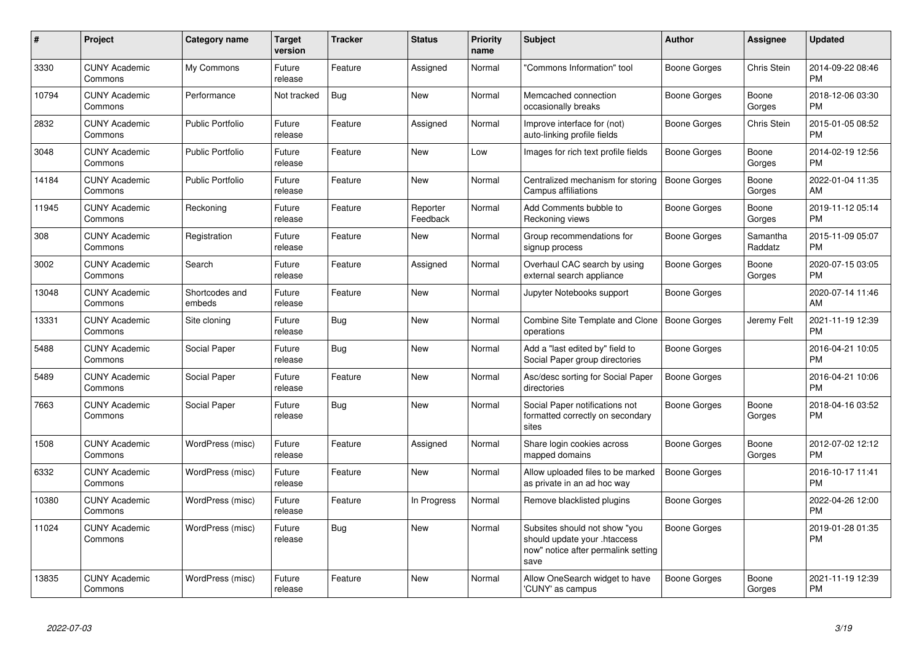| #     | Project                         | <b>Category name</b>     | <b>Target</b><br>version | <b>Tracker</b> | <b>Status</b>        | Priority<br>name | <b>Subject</b>                                                                                               | <b>Author</b> | Assignee            | <b>Updated</b>                |
|-------|---------------------------------|--------------------------|--------------------------|----------------|----------------------|------------------|--------------------------------------------------------------------------------------------------------------|---------------|---------------------|-------------------------------|
| 3330  | <b>CUNY Academic</b><br>Commons | My Commons               | Future<br>release        | Feature        | Assigned             | Normal           | 'Commons Information" tool                                                                                   | Boone Gorges  | Chris Stein         | 2014-09-22 08:46<br><b>PM</b> |
| 10794 | <b>CUNY Academic</b><br>Commons | Performance              | Not tracked              | Bug            | New                  | Normal           | Memcached connection<br>occasionally breaks                                                                  | Boone Gorges  | Boone<br>Gorges     | 2018-12-06 03:30<br><b>PM</b> |
| 2832  | <b>CUNY Academic</b><br>Commons | Public Portfolio         | Future<br>release        | Feature        | Assigned             | Normal           | Improve interface for (not)<br>auto-linking profile fields                                                   | Boone Gorges  | Chris Stein         | 2015-01-05 08:52<br><b>PM</b> |
| 3048  | <b>CUNY Academic</b><br>Commons | <b>Public Portfolio</b>  | Future<br>release        | Feature        | New                  | Low              | Images for rich text profile fields                                                                          | Boone Gorges  | Boone<br>Gorges     | 2014-02-19 12:56<br><b>PM</b> |
| 14184 | <b>CUNY Academic</b><br>Commons | <b>Public Portfolio</b>  | Future<br>release        | Feature        | New                  | Normal           | Centralized mechanism for storing<br>Campus affiliations                                                     | Boone Gorges  | Boone<br>Gorges     | 2022-01-04 11:35<br>AM.       |
| 11945 | <b>CUNY Academic</b><br>Commons | Reckoning                | Future<br>release        | Feature        | Reporter<br>Feedback | Normal           | Add Comments bubble to<br>Reckoning views                                                                    | Boone Gorges  | Boone<br>Gorges     | 2019-11-12 05:14<br><b>PM</b> |
| 308   | <b>CUNY Academic</b><br>Commons | Registration             | Future<br>release        | Feature        | New                  | Normal           | Group recommendations for<br>signup process                                                                  | Boone Gorges  | Samantha<br>Raddatz | 2015-11-09 05:07<br><b>PM</b> |
| 3002  | <b>CUNY Academic</b><br>Commons | Search                   | Future<br>release        | Feature        | Assigned             | Normal           | Overhaul CAC search by using<br>external search appliance                                                    | Boone Gorges  | Boone<br>Gorges     | 2020-07-15 03:05<br><b>PM</b> |
| 13048 | <b>CUNY Academic</b><br>Commons | Shortcodes and<br>embeds | Future<br>release        | Feature        | New                  | Normal           | Jupyter Notebooks support                                                                                    | Boone Gorges  |                     | 2020-07-14 11:46<br>AM        |
| 13331 | <b>CUNY Academic</b><br>Commons | Site cloning             | Future<br>release        | Bug            | New                  | Normal           | Combine Site Template and Clone<br>operations                                                                | Boone Gorges  | Jeremy Felt         | 2021-11-19 12:39<br><b>PM</b> |
| 5488  | <b>CUNY Academic</b><br>Commons | Social Paper             | Future<br>release        | Bug            | New                  | Normal           | Add a "last edited by" field to<br>Social Paper group directories                                            | Boone Gorges  |                     | 2016-04-21 10:05<br><b>PM</b> |
| 5489  | <b>CUNY Academic</b><br>Commons | Social Paper             | Future<br>release        | Feature        | New                  | Normal           | Asc/desc sorting for Social Paper<br>directories                                                             | Boone Gorges  |                     | 2016-04-21 10:06<br><b>PM</b> |
| 7663  | <b>CUNY Academic</b><br>Commons | Social Paper             | Future<br>release        | <b>Bug</b>     | New                  | Normal           | Social Paper notifications not<br>formatted correctly on secondary<br>sites                                  | Boone Gorges  | Boone<br>Gorges     | 2018-04-16 03:52<br><b>PM</b> |
| 1508  | <b>CUNY Academic</b><br>Commons | WordPress (misc)         | Future<br>release        | Feature        | Assigned             | Normal           | Share login cookies across<br>mapped domains                                                                 | Boone Gorges  | Boone<br>Gorges     | 2012-07-02 12:12<br>PM        |
| 6332  | <b>CUNY Academic</b><br>Commons | WordPress (misc)         | Future<br>release        | Feature        | <b>New</b>           | Normal           | Allow uploaded files to be marked<br>as private in an ad hoc way                                             | Boone Gorges  |                     | 2016-10-17 11:41<br><b>PM</b> |
| 10380 | <b>CUNY Academic</b><br>Commons | WordPress (misc)         | Future<br>release        | Feature        | In Progress          | Normal           | Remove blacklisted plugins                                                                                   | Boone Gorges  |                     | 2022-04-26 12:00<br><b>PM</b> |
| 11024 | <b>CUNY Academic</b><br>Commons | WordPress (misc)         | Future<br>release        | Bug            | New                  | Normal           | Subsites should not show "you<br>should update your .htaccess<br>now" notice after permalink setting<br>save | Boone Gorges  |                     | 2019-01-28 01:35<br>PM        |
| 13835 | <b>CUNY Academic</b><br>Commons | WordPress (misc)         | Future<br>release        | Feature        | <b>New</b>           | Normal           | Allow OneSearch widget to have<br>'CUNY' as campus                                                           | Boone Gorges  | Boone<br>Gorges     | 2021-11-19 12:39<br><b>PM</b> |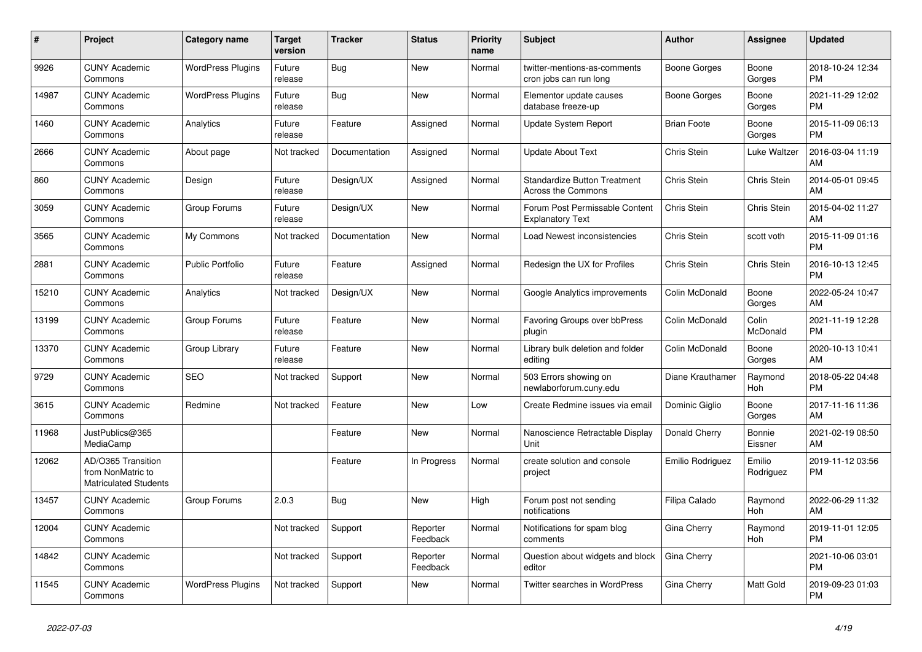| $\#$  | Project                                                                 | <b>Category name</b>     | <b>Target</b><br>version | <b>Tracker</b> | <b>Status</b>        | <b>Priority</b><br>name | <b>Subject</b>                                            | <b>Author</b>      | Assignee            | <b>Updated</b>                |
|-------|-------------------------------------------------------------------------|--------------------------|--------------------------|----------------|----------------------|-------------------------|-----------------------------------------------------------|--------------------|---------------------|-------------------------------|
| 9926  | <b>CUNY Academic</b><br>Commons                                         | <b>WordPress Plugins</b> | Future<br>release        | Bug            | <b>New</b>           | Normal                  | twitter-mentions-as-comments<br>cron jobs can run long    | Boone Gorges       | Boone<br>Gorges     | 2018-10-24 12:34<br><b>PM</b> |
| 14987 | <b>CUNY Academic</b><br>Commons                                         | <b>WordPress Plugins</b> | Future<br>release        | Bug            | New                  | Normal                  | Elementor update causes<br>database freeze-up             | Boone Gorges       | Boone<br>Gorges     | 2021-11-29 12:02<br><b>PM</b> |
| 1460  | <b>CUNY Academic</b><br>Commons                                         | Analytics                | Future<br>release        | Feature        | Assigned             | Normal                  | Update System Report                                      | <b>Brian Foote</b> | Boone<br>Gorges     | 2015-11-09 06:13<br><b>PM</b> |
| 2666  | <b>CUNY Academic</b><br>Commons                                         | About page               | Not tracked              | Documentation  | Assigned             | Normal                  | <b>Update About Text</b>                                  | Chris Stein        | Luke Waltzer        | 2016-03-04 11:19<br>AM        |
| 860   | <b>CUNY Academic</b><br>Commons                                         | Design                   | Future<br>release        | Design/UX      | Assigned             | Normal                  | <b>Standardize Button Treatment</b><br>Across the Commons | Chris Stein        | Chris Stein         | 2014-05-01 09:45<br>AM        |
| 3059  | <b>CUNY Academic</b><br>Commons                                         | Group Forums             | Future<br>release        | Design/UX      | New                  | Normal                  | Forum Post Permissable Content<br><b>Explanatory Text</b> | Chris Stein        | Chris Stein         | 2015-04-02 11:27<br>AM        |
| 3565  | <b>CUNY Academic</b><br>Commons                                         | My Commons               | Not tracked              | Documentation  | <b>New</b>           | Normal                  | Load Newest inconsistencies                               | Chris Stein        | scott voth          | 2015-11-09 01:16<br><b>PM</b> |
| 2881  | <b>CUNY Academic</b><br>Commons                                         | <b>Public Portfolio</b>  | Future<br>release        | Feature        | Assigned             | Normal                  | Redesign the UX for Profiles                              | Chris Stein        | Chris Stein         | 2016-10-13 12:45<br><b>PM</b> |
| 15210 | <b>CUNY Academic</b><br>Commons                                         | Analytics                | Not tracked              | Design/UX      | <b>New</b>           | Normal                  | Google Analytics improvements                             | Colin McDonald     | Boone<br>Gorges     | 2022-05-24 10:47<br>AM        |
| 13199 | <b>CUNY Academic</b><br>Commons                                         | Group Forums             | Future<br>release        | Feature        | New                  | Normal                  | Favoring Groups over bbPress<br>plugin                    | Colin McDonald     | Colin<br>McDonald   | 2021-11-19 12:28<br><b>PM</b> |
| 13370 | <b>CUNY Academic</b><br>Commons                                         | Group Library            | Future<br>release        | Feature        | <b>New</b>           | Normal                  | Library bulk deletion and folder<br>editing               | Colin McDonald     | Boone<br>Gorges     | 2020-10-13 10:41<br>AM        |
| 9729  | <b>CUNY Academic</b><br>Commons                                         | <b>SEO</b>               | Not tracked              | Support        | New                  | Normal                  | 503 Errors showing on<br>newlaborforum.cuny.edu           | Diane Krauthamer   | Raymond<br>Hoh      | 2018-05-22 04:48<br><b>PM</b> |
| 3615  | <b>CUNY Academic</b><br>Commons                                         | Redmine                  | Not tracked              | Feature        | New                  | Low                     | Create Redmine issues via email                           | Dominic Giglio     | Boone<br>Gorges     | 2017-11-16 11:36<br>AM        |
| 11968 | JustPublics@365<br>MediaCamp                                            |                          |                          | Feature        | <b>New</b>           | Normal                  | Nanoscience Retractable Display<br>Unit                   | Donald Cherry      | Bonnie<br>Eissner   | 2021-02-19 08:50<br>AM        |
| 12062 | AD/O365 Transition<br>from NonMatric to<br><b>Matriculated Students</b> |                          |                          | Feature        | In Progress          | Normal                  | create solution and console<br>project                    | Emilio Rodriguez   | Emilio<br>Rodriguez | 2019-11-12 03:56<br><b>PM</b> |
| 13457 | <b>CUNY Academic</b><br>Commons                                         | Group Forums             | 2.0.3                    | Bug            | <b>New</b>           | High                    | Forum post not sending<br>notifications                   | Filipa Calado      | Raymond<br>Hoh      | 2022-06-29 11:32<br>AM        |
| 12004 | <b>CUNY Academic</b><br>Commons                                         |                          | Not tracked              | Support        | Reporter<br>Feedback | Normal                  | Notifications for spam blog<br>comments                   | Gina Cherry        | Raymond<br>Hoh      | 2019-11-01 12:05<br><b>PM</b> |
| 14842 | <b>CUNY Academic</b><br>Commons                                         |                          | Not tracked              | Support        | Reporter<br>Feedback | Normal                  | Question about widgets and block<br>editor                | Gina Cherry        |                     | 2021-10-06 03:01<br><b>PM</b> |
| 11545 | <b>CUNY Academic</b><br>Commons                                         | <b>WordPress Plugins</b> | Not tracked              | Support        | <b>New</b>           | Normal                  | <b>Twitter searches in WordPress</b>                      | Gina Cherry        | Matt Gold           | 2019-09-23 01:03<br><b>PM</b> |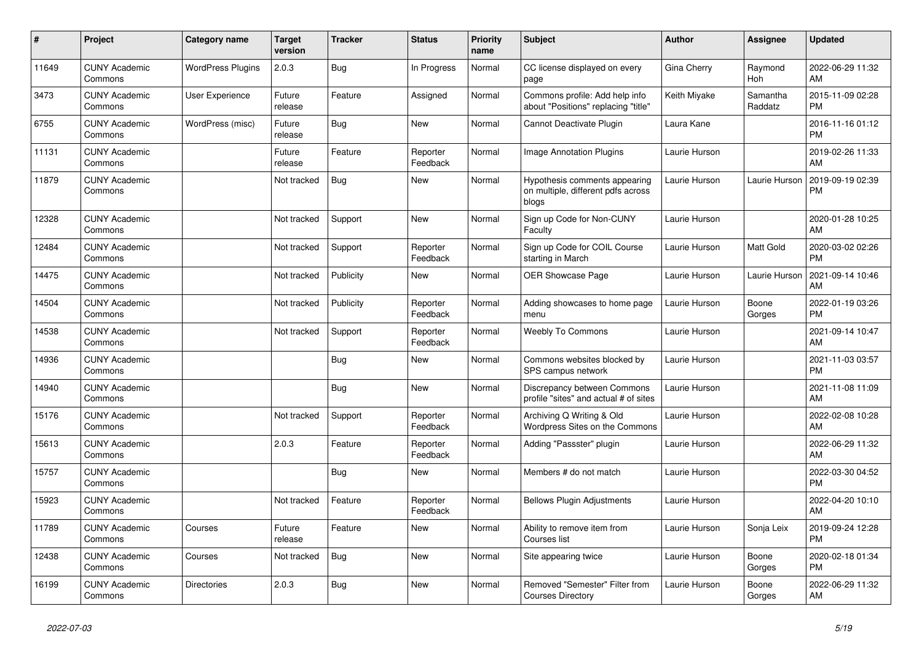| #     | Project                         | Category name            | <b>Target</b><br>version | <b>Tracker</b> | <b>Status</b>        | <b>Priority</b><br>name | <b>Subject</b>                                                               | <b>Author</b> | Assignee            | <b>Updated</b>                |
|-------|---------------------------------|--------------------------|--------------------------|----------------|----------------------|-------------------------|------------------------------------------------------------------------------|---------------|---------------------|-------------------------------|
| 11649 | <b>CUNY Academic</b><br>Commons | <b>WordPress Plugins</b> | 2.0.3                    | <b>Bug</b>     | In Progress          | Normal                  | CC license displayed on every<br>page                                        | Gina Cherry   | Raymond<br>Hoh      | 2022-06-29 11:32<br>AM        |
| 3473  | <b>CUNY Academic</b><br>Commons | User Experience          | Future<br>release        | Feature        | Assigned             | Normal                  | Commons profile: Add help info<br>about "Positions" replacing "title"        | Keith Miyake  | Samantha<br>Raddatz | 2015-11-09 02:28<br><b>PM</b> |
| 6755  | <b>CUNY Academic</b><br>Commons | WordPress (misc)         | Future<br>release        | Bug            | <b>New</b>           | Normal                  | Cannot Deactivate Plugin                                                     | Laura Kane    |                     | 2016-11-16 01:12<br><b>PM</b> |
| 11131 | <b>CUNY Academic</b><br>Commons |                          | Future<br>release        | Feature        | Reporter<br>Feedback | Normal                  | Image Annotation Plugins                                                     | Laurie Hurson |                     | 2019-02-26 11:33<br>AM        |
| 11879 | <b>CUNY Academic</b><br>Commons |                          | Not tracked              | <b>Bug</b>     | <b>New</b>           | Normal                  | Hypothesis comments appearing<br>on multiple, different pdfs across<br>blogs | Laurie Hurson | Laurie Hurson       | 2019-09-19 02:39<br><b>PM</b> |
| 12328 | <b>CUNY Academic</b><br>Commons |                          | Not tracked              | Support        | <b>New</b>           | Normal                  | Sign up Code for Non-CUNY<br>Faculty                                         | Laurie Hurson |                     | 2020-01-28 10:25<br>AM        |
| 12484 | <b>CUNY Academic</b><br>Commons |                          | Not tracked              | Support        | Reporter<br>Feedback | Normal                  | Sign up Code for COIL Course<br>starting in March                            | Laurie Hurson | Matt Gold           | 2020-03-02 02:26<br><b>PM</b> |
| 14475 | <b>CUNY Academic</b><br>Commons |                          | Not tracked              | Publicity      | <b>New</b>           | Normal                  | <b>OER Showcase Page</b>                                                     | Laurie Hurson | Laurie Hurson       | 2021-09-14 10:46<br>AM        |
| 14504 | <b>CUNY Academic</b><br>Commons |                          | Not tracked              | Publicity      | Reporter<br>Feedback | Normal                  | Adding showcases to home page<br>menu                                        | Laurie Hurson | Boone<br>Gorges     | 2022-01-19 03:26<br><b>PM</b> |
| 14538 | <b>CUNY Academic</b><br>Commons |                          | Not tracked              | Support        | Reporter<br>Feedback | Normal                  | <b>Weebly To Commons</b>                                                     | Laurie Hurson |                     | 2021-09-14 10:47<br>AM        |
| 14936 | <b>CUNY Academic</b><br>Commons |                          |                          | Bug            | <b>New</b>           | Normal                  | Commons websites blocked by<br>SPS campus network                            | Laurie Hurson |                     | 2021-11-03 03:57<br><b>PM</b> |
| 14940 | <b>CUNY Academic</b><br>Commons |                          |                          | Bug            | <b>New</b>           | Normal                  | Discrepancy between Commons<br>profile "sites" and actual # of sites         | Laurie Hurson |                     | 2021-11-08 11:09<br>AM        |
| 15176 | <b>CUNY Academic</b><br>Commons |                          | Not tracked              | Support        | Reporter<br>Feedback | Normal                  | Archiving Q Writing & Old<br>Wordpress Sites on the Commons                  | Laurie Hurson |                     | 2022-02-08 10:28<br>AM        |
| 15613 | <b>CUNY Academic</b><br>Commons |                          | 2.0.3                    | Feature        | Reporter<br>Feedback | Normal                  | Adding "Passster" plugin                                                     | Laurie Hurson |                     | 2022-06-29 11:32<br>AM        |
| 15757 | <b>CUNY Academic</b><br>Commons |                          |                          | Bug            | <b>New</b>           | Normal                  | Members # do not match                                                       | Laurie Hurson |                     | 2022-03-30 04:52<br><b>PM</b> |
| 15923 | <b>CUNY Academic</b><br>Commons |                          | Not tracked              | Feature        | Reporter<br>Feedback | Normal                  | <b>Bellows Plugin Adjustments</b>                                            | Laurie Hurson |                     | 2022-04-20 10:10<br>AM        |
| 11789 | <b>CUNY Academic</b><br>Commons | Courses                  | Future<br>release        | Feature        | <b>New</b>           | Normal                  | Ability to remove item from<br>Courses list                                  | Laurie Hurson | Sonja Leix          | 2019-09-24 12:28<br><b>PM</b> |
| 12438 | <b>CUNY Academic</b><br>Commons | Courses                  | Not tracked              | Bug            | <b>New</b>           | Normal                  | Site appearing twice                                                         | Laurie Hurson | Boone<br>Gorges     | 2020-02-18 01:34<br><b>PM</b> |
| 16199 | <b>CUNY Academic</b><br>Commons | Directories              | 2.0.3                    | Bug            | <b>New</b>           | Normal                  | Removed "Semester" Filter from<br><b>Courses Directory</b>                   | Laurie Hurson | Boone<br>Gorges     | 2022-06-29 11:32<br>AM        |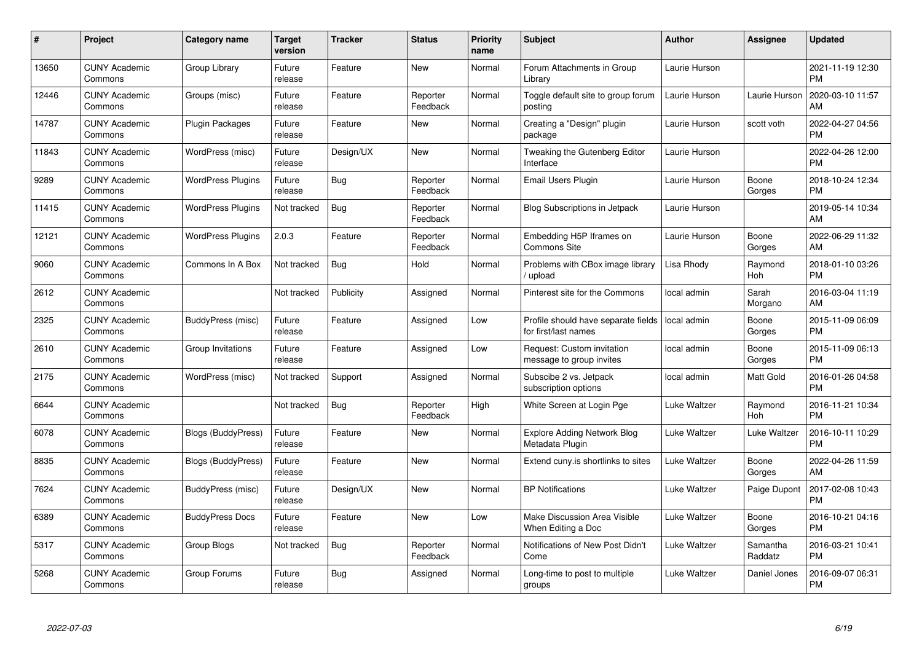| $\#$  | Project                         | <b>Category name</b>      | <b>Target</b><br>version | <b>Tracker</b> | <b>Status</b>        | Priority<br>name | <b>Subject</b>                                              | <b>Author</b> | <b>Assignee</b>     | <b>Updated</b>                |
|-------|---------------------------------|---------------------------|--------------------------|----------------|----------------------|------------------|-------------------------------------------------------------|---------------|---------------------|-------------------------------|
| 13650 | <b>CUNY Academic</b><br>Commons | Group Library             | Future<br>release        | Feature        | <b>New</b>           | Normal           | Forum Attachments in Group<br>Library                       | Laurie Hurson |                     | 2021-11-19 12:30<br><b>PM</b> |
| 12446 | <b>CUNY Academic</b><br>Commons | Groups (misc)             | Future<br>release        | Feature        | Reporter<br>Feedback | Normal           | Toggle default site to group forum<br>posting               | Laurie Hurson | Laurie Hurson       | 2020-03-10 11:57<br>AM        |
| 14787 | <b>CUNY Academic</b><br>Commons | <b>Plugin Packages</b>    | Future<br>release        | Feature        | New                  | Normal           | Creating a "Design" plugin<br>package                       | Laurie Hurson | scott voth          | 2022-04-27 04:56<br><b>PM</b> |
| 11843 | <b>CUNY Academic</b><br>Commons | WordPress (misc)          | Future<br>release        | Design/UX      | <b>New</b>           | Normal           | Tweaking the Gutenberg Editor<br>Interface                  | Laurie Hurson |                     | 2022-04-26 12:00<br><b>PM</b> |
| 9289  | <b>CUNY Academic</b><br>Commons | <b>WordPress Plugins</b>  | Future<br>release        | <b>Bug</b>     | Reporter<br>Feedback | Normal           | Email Users Plugin                                          | Laurie Hurson | Boone<br>Gorges     | 2018-10-24 12:34<br><b>PM</b> |
| 11415 | <b>CUNY Academic</b><br>Commons | <b>WordPress Plugins</b>  | Not tracked              | Bug            | Reporter<br>Feedback | Normal           | Blog Subscriptions in Jetpack                               | Laurie Hurson |                     | 2019-05-14 10:34<br>AM        |
| 12121 | <b>CUNY Academic</b><br>Commons | <b>WordPress Plugins</b>  | 2.0.3                    | Feature        | Reporter<br>Feedback | Normal           | Embedding H5P Iframes on<br><b>Commons Site</b>             | Laurie Hurson | Boone<br>Gorges     | 2022-06-29 11:32<br>AM        |
| 9060  | <b>CUNY Academic</b><br>Commons | Commons In A Box          | Not tracked              | Bug            | Hold                 | Normal           | Problems with CBox image library<br>/ upload                | Lisa Rhody    | Raymond<br>Hoh      | 2018-01-10 03:26<br><b>PM</b> |
| 2612  | <b>CUNY Academic</b><br>Commons |                           | Not tracked              | Publicity      | Assigned             | Normal           | Pinterest site for the Commons                              | local admin   | Sarah<br>Morgano    | 2016-03-04 11:19<br>AM        |
| 2325  | <b>CUNY Academic</b><br>Commons | BuddyPress (misc)         | Future<br>release        | Feature        | Assigned             | Low              | Profile should have separate fields<br>for first/last names | local admin   | Boone<br>Gorges     | 2015-11-09 06:09<br><b>PM</b> |
| 2610  | <b>CUNY Academic</b><br>Commons | Group Invitations         | Future<br>release        | Feature        | Assigned             | Low              | Request: Custom invitation<br>message to group invites      | local admin   | Boone<br>Gorges     | 2015-11-09 06:13<br><b>PM</b> |
| 2175  | <b>CUNY Academic</b><br>Commons | WordPress (misc)          | Not tracked              | Support        | Assigned             | Normal           | Subscibe 2 vs. Jetpack<br>subscription options              | local admin   | Matt Gold           | 2016-01-26 04:58<br><b>PM</b> |
| 6644  | <b>CUNY Academic</b><br>Commons |                           | Not tracked              | Bug            | Reporter<br>Feedback | High             | White Screen at Login Pge                                   | Luke Waltzer  | Raymond<br>Hoh      | 2016-11-21 10:34<br><b>PM</b> |
| 6078  | <b>CUNY Academic</b><br>Commons | <b>Blogs (BuddyPress)</b> | Future<br>release        | Feature        | New                  | Normal           | <b>Explore Adding Network Blog</b><br>Metadata Plugin       | Luke Waltzer  | Luke Waltzer        | 2016-10-11 10:29<br><b>PM</b> |
| 8835  | <b>CUNY Academic</b><br>Commons | <b>Blogs (BuddyPress)</b> | Future<br>release        | Feature        | New                  | Normal           | Extend cuny.is shortlinks to sites                          | Luke Waltzer  | Boone<br>Gorges     | 2022-04-26 11:59<br>AM        |
| 7624  | <b>CUNY Academic</b><br>Commons | BuddyPress (misc)         | Future<br>release        | Design/UX      | New                  | Normal           | <b>BP Notifications</b>                                     | Luke Waltzer  | Paige Dupont        | 2017-02-08 10:43<br><b>PM</b> |
| 6389  | <b>CUNY Academic</b><br>Commons | <b>BuddyPress Docs</b>    | Future<br>release        | Feature        | New                  | Low              | <b>Make Discussion Area Visible</b><br>When Editing a Doc   | Luke Waltzer  | Boone<br>Gorges     | 2016-10-21 04:16<br><b>PM</b> |
| 5317  | <b>CUNY Academic</b><br>Commons | Group Blogs               | Not tracked              | Bug            | Reporter<br>Feedback | Normal           | Notifications of New Post Didn't<br>Come                    | Luke Waltzer  | Samantha<br>Raddatz | 2016-03-21 10:41<br><b>PM</b> |
| 5268  | <b>CUNY Academic</b><br>Commons | Group Forums              | Future<br>release        | <b>Bug</b>     | Assigned             | Normal           | Long-time to post to multiple<br>groups                     | Luke Waltzer  | Daniel Jones        | 2016-09-07 06:31<br><b>PM</b> |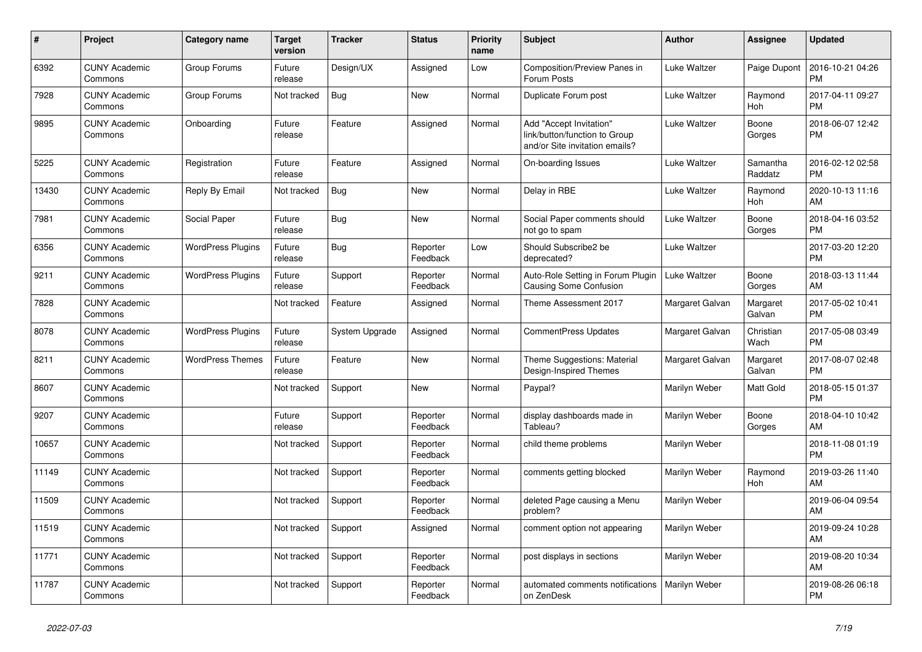| #     | <b>Project</b>                  | Category name            | <b>Target</b><br>version | <b>Tracker</b> | <b>Status</b>        | <b>Priority</b><br>name | <b>Subject</b>                                                                             | <b>Author</b>   | Assignee            | <b>Updated</b>                |
|-------|---------------------------------|--------------------------|--------------------------|----------------|----------------------|-------------------------|--------------------------------------------------------------------------------------------|-----------------|---------------------|-------------------------------|
| 6392  | <b>CUNY Academic</b><br>Commons | Group Forums             | Future<br>release        | Design/UX      | Assigned             | Low                     | Composition/Preview Panes in<br>Forum Posts                                                | Luke Waltzer    | Paige Dupont        | 2016-10-21 04:26<br><b>PM</b> |
| 7928  | <b>CUNY Academic</b><br>Commons | Group Forums             | Not tracked              | Bug            | New                  | Normal                  | Duplicate Forum post                                                                       | Luke Waltzer    | Raymond<br>Hoh      | 2017-04-11 09:27<br><b>PM</b> |
| 9895  | <b>CUNY Academic</b><br>Commons | Onboarding               | Future<br>release        | Feature        | Assigned             | Normal                  | Add "Accept Invitation"<br>link/button/function to Group<br>and/or Site invitation emails? | Luke Waltzer    | Boone<br>Gorges     | 2018-06-07 12:42<br><b>PM</b> |
| 5225  | <b>CUNY Academic</b><br>Commons | Registration             | Future<br>release        | Feature        | Assigned             | Normal                  | On-boarding Issues                                                                         | Luke Waltzer    | Samantha<br>Raddatz | 2016-02-12 02:58<br><b>PM</b> |
| 13430 | <b>CUNY Academic</b><br>Commons | Reply By Email           | Not tracked              | <b>Bug</b>     | New                  | Normal                  | Delay in RBE                                                                               | Luke Waltzer    | Raymond<br>Hoh      | 2020-10-13 11:16<br>AM        |
| 7981  | <b>CUNY Academic</b><br>Commons | Social Paper             | Future<br>release        | <b>Bug</b>     | <b>New</b>           | Normal                  | Social Paper comments should<br>not go to spam                                             | Luke Waltzer    | Boone<br>Gorges     | 2018-04-16 03:52<br><b>PM</b> |
| 6356  | <b>CUNY Academic</b><br>Commons | <b>WordPress Plugins</b> | Future<br>release        | Bug            | Reporter<br>Feedback | Low                     | Should Subscribe2 be<br>deprecated?                                                        | Luke Waltzer    |                     | 2017-03-20 12:20<br><b>PM</b> |
| 9211  | <b>CUNY Academic</b><br>Commons | <b>WordPress Plugins</b> | Future<br>release        | Support        | Reporter<br>Feedback | Normal                  | Auto-Role Setting in Forum Plugin<br>Causing Some Confusion                                | Luke Waltzer    | Boone<br>Gorges     | 2018-03-13 11:44<br>AM        |
| 7828  | <b>CUNY Academic</b><br>Commons |                          | Not tracked              | Feature        | Assigned             | Normal                  | Theme Assessment 2017                                                                      | Margaret Galvan | Margaret<br>Galvan  | 2017-05-02 10:41<br><b>PM</b> |
| 8078  | <b>CUNY Academic</b><br>Commons | <b>WordPress Plugins</b> | Future<br>release        | System Upgrade | Assigned             | Normal                  | <b>CommentPress Updates</b>                                                                | Margaret Galvan | Christian<br>Wach   | 2017-05-08 03:49<br><b>PM</b> |
| 8211  | <b>CUNY Academic</b><br>Commons | <b>WordPress Themes</b>  | Future<br>release        | Feature        | New                  | Normal                  | Theme Suggestions: Material<br>Design-Inspired Themes                                      | Margaret Galvan | Margaret<br>Galvan  | 2017-08-07 02:48<br><b>PM</b> |
| 8607  | <b>CUNY Academic</b><br>Commons |                          | Not tracked              | Support        | New                  | Normal                  | Paypal?                                                                                    | Marilyn Weber   | Matt Gold           | 2018-05-15 01:37<br><b>PM</b> |
| 9207  | <b>CUNY Academic</b><br>Commons |                          | Future<br>release        | Support        | Reporter<br>Feedback | Normal                  | display dashboards made in<br>Tableau?                                                     | Marilyn Weber   | Boone<br>Gorges     | 2018-04-10 10:42<br>AM        |
| 10657 | <b>CUNY Academic</b><br>Commons |                          | Not tracked              | Support        | Reporter<br>Feedback | Normal                  | child theme problems                                                                       | Marilyn Weber   |                     | 2018-11-08 01:19<br><b>PM</b> |
| 11149 | <b>CUNY Academic</b><br>Commons |                          | Not tracked              | Support        | Reporter<br>Feedback | Normal                  | comments getting blocked                                                                   | Marilyn Weber   | Raymond<br>Hoh      | 2019-03-26 11:40<br>AM        |
| 11509 | <b>CUNY Academic</b><br>Commons |                          | Not tracked              | Support        | Reporter<br>Feedback | Normal                  | deleted Page causing a Menu<br>problem?                                                    | Marilyn Weber   |                     | 2019-06-04 09:54<br>AM        |
| 11519 | <b>CUNY Academic</b><br>Commons |                          | Not tracked              | Support        | Assigned             | Normal                  | comment option not appearing                                                               | Marilyn Weber   |                     | 2019-09-24 10:28<br>AM        |
| 11771 | <b>CUNY Academic</b><br>Commons |                          | Not tracked              | Support        | Reporter<br>Feedback | Normal                  | post displays in sections                                                                  | Marilyn Weber   |                     | 2019-08-20 10:34<br>AM        |
| 11787 | <b>CUNY Academic</b><br>Commons |                          | Not tracked              | Support        | Reporter<br>Feedback | Normal                  | automated comments notifications<br>on ZenDesk                                             | Marilyn Weber   |                     | 2019-08-26 06:18<br><b>PM</b> |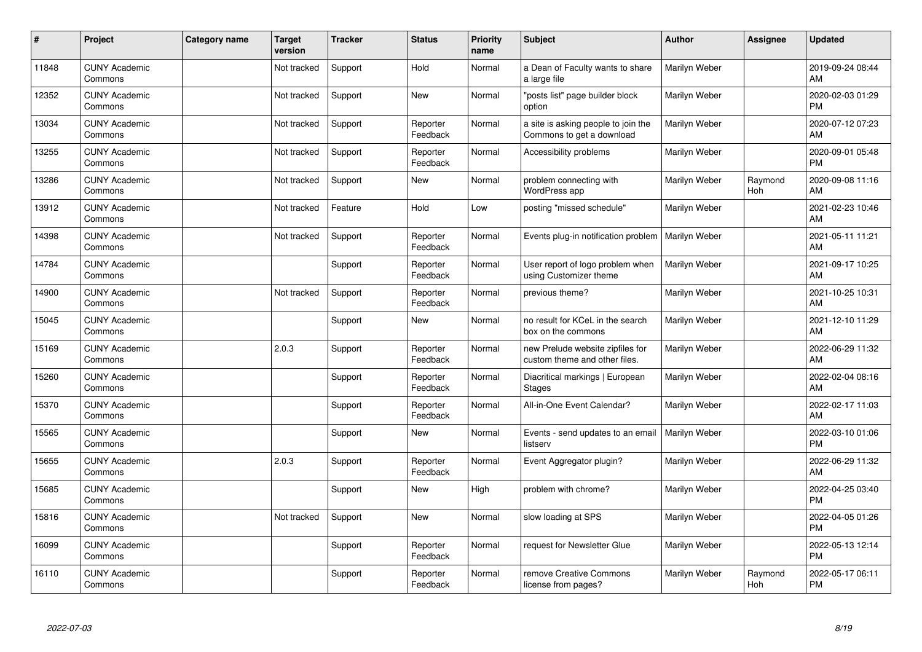| $\vert$ # | Project                         | Category name | <b>Target</b><br>version | <b>Tracker</b> | <b>Status</b>        | <b>Priority</b><br>name | <b>Subject</b>                                                    | <b>Author</b> | <b>Assignee</b> | <b>Updated</b>                |
|-----------|---------------------------------|---------------|--------------------------|----------------|----------------------|-------------------------|-------------------------------------------------------------------|---------------|-----------------|-------------------------------|
| 11848     | <b>CUNY Academic</b><br>Commons |               | Not tracked              | Support        | Hold                 | Normal                  | a Dean of Faculty wants to share<br>a large file                  | Marilyn Weber |                 | 2019-09-24 08:44<br>AM        |
| 12352     | <b>CUNY Academic</b><br>Commons |               | Not tracked              | Support        | <b>New</b>           | Normal                  | "posts list" page builder block<br>option                         | Marilyn Weber |                 | 2020-02-03 01:29<br><b>PM</b> |
| 13034     | <b>CUNY Academic</b><br>Commons |               | Not tracked              | Support        | Reporter<br>Feedback | Normal                  | a site is asking people to join the<br>Commons to get a download  | Marilyn Weber |                 | 2020-07-12 07:23<br>AM        |
| 13255     | <b>CUNY Academic</b><br>Commons |               | Not tracked              | Support        | Reporter<br>Feedback | Normal                  | Accessibility problems                                            | Marilyn Weber |                 | 2020-09-01 05:48<br><b>PM</b> |
| 13286     | <b>CUNY Academic</b><br>Commons |               | Not tracked              | Support        | <b>New</b>           | Normal                  | problem connecting with<br>WordPress app                          | Marilyn Weber | Raymond<br>Hoh  | 2020-09-08 11:16<br><b>AM</b> |
| 13912     | <b>CUNY Academic</b><br>Commons |               | Not tracked              | Feature        | Hold                 | Low                     | posting "missed schedule"                                         | Marilyn Weber |                 | 2021-02-23 10:46<br>AM        |
| 14398     | <b>CUNY Academic</b><br>Commons |               | Not tracked              | Support        | Reporter<br>Feedback | Normal                  | Events plug-in notification problem                               | Marilyn Weber |                 | 2021-05-11 11:21<br>AM        |
| 14784     | <b>CUNY Academic</b><br>Commons |               |                          | Support        | Reporter<br>Feedback | Normal                  | User report of logo problem when<br>using Customizer theme        | Marilyn Weber |                 | 2021-09-17 10:25<br>AM        |
| 14900     | <b>CUNY Academic</b><br>Commons |               | Not tracked              | Support        | Reporter<br>Feedback | Normal                  | previous theme?                                                   | Marilyn Weber |                 | 2021-10-25 10:31<br>AM        |
| 15045     | <b>CUNY Academic</b><br>Commons |               |                          | Support        | <b>New</b>           | Normal                  | no result for KCeL in the search<br>box on the commons            | Marilyn Weber |                 | 2021-12-10 11:29<br>AM        |
| 15169     | <b>CUNY Academic</b><br>Commons |               | 2.0.3                    | Support        | Reporter<br>Feedback | Normal                  | new Prelude website zipfiles for<br>custom theme and other files. | Marilyn Weber |                 | 2022-06-29 11:32<br>AM        |
| 15260     | <b>CUNY Academic</b><br>Commons |               |                          | Support        | Reporter<br>Feedback | Normal                  | Diacritical markings   European<br><b>Stages</b>                  | Marilyn Weber |                 | 2022-02-04 08:16<br>AM        |
| 15370     | <b>CUNY Academic</b><br>Commons |               |                          | Support        | Reporter<br>Feedback | Normal                  | All-in-One Event Calendar?                                        | Marilyn Weber |                 | 2022-02-17 11:03<br>AM        |
| 15565     | <b>CUNY Academic</b><br>Commons |               |                          | Support        | <b>New</b>           | Normal                  | Events - send updates to an email<br>listserv                     | Marilyn Weber |                 | 2022-03-10 01:06<br><b>PM</b> |
| 15655     | <b>CUNY Academic</b><br>Commons |               | 2.0.3                    | Support        | Reporter<br>Feedback | Normal                  | Event Aggregator plugin?                                          | Marilyn Weber |                 | 2022-06-29 11:32<br><b>AM</b> |
| 15685     | <b>CUNY Academic</b><br>Commons |               |                          | Support        | <b>New</b>           | High                    | problem with chrome?                                              | Marilyn Weber |                 | 2022-04-25 03:40<br><b>PM</b> |
| 15816     | <b>CUNY Academic</b><br>Commons |               | Not tracked              | Support        | New                  | Normal                  | slow loading at SPS                                               | Marilyn Weber |                 | 2022-04-05 01:26<br><b>PM</b> |
| 16099     | <b>CUNY Academic</b><br>Commons |               |                          | Support        | Reporter<br>Feedback | Normal                  | request for Newsletter Glue                                       | Marilyn Weber |                 | 2022-05-13 12:14<br><b>PM</b> |
| 16110     | <b>CUNY Academic</b><br>Commons |               |                          | Support        | Reporter<br>Feedback | Normal                  | remove Creative Commons<br>license from pages?                    | Marilyn Weber | Raymond<br>Hoh  | 2022-05-17 06:11<br>PM        |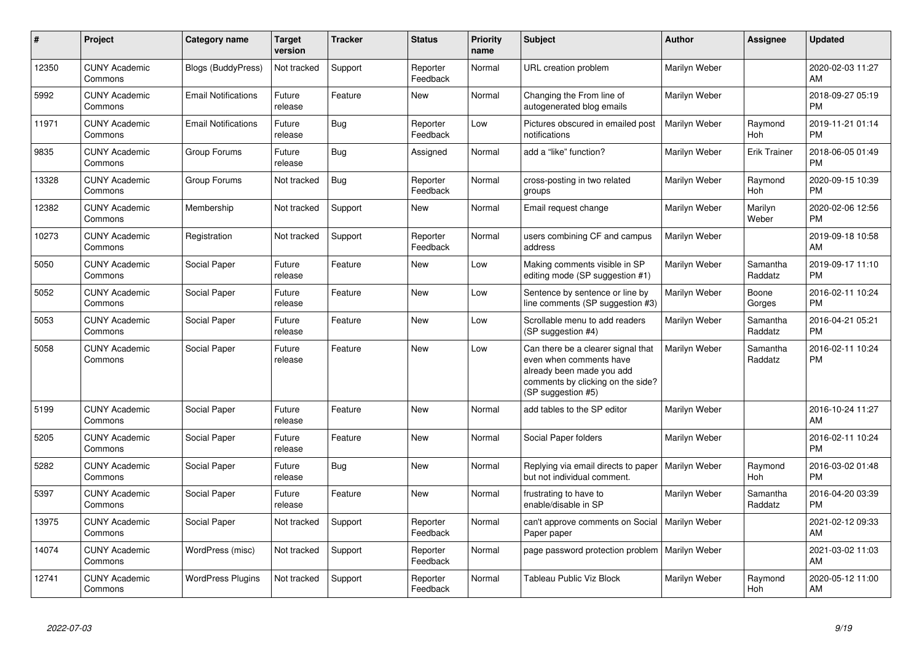| $\pmb{\#}$ | Project                         | <b>Category name</b>       | <b>Target</b><br>version | <b>Tracker</b> | <b>Status</b>        | <b>Priority</b><br>name | <b>Subject</b>                                                                                                                                        | <b>Author</b> | <b>Assignee</b>     | <b>Updated</b>                |
|------------|---------------------------------|----------------------------|--------------------------|----------------|----------------------|-------------------------|-------------------------------------------------------------------------------------------------------------------------------------------------------|---------------|---------------------|-------------------------------|
| 12350      | <b>CUNY Academic</b><br>Commons | <b>Blogs (BuddyPress)</b>  | Not tracked              | Support        | Reporter<br>Feedback | Normal                  | URL creation problem                                                                                                                                  | Marilyn Weber |                     | 2020-02-03 11:27<br>AM        |
| 5992       | <b>CUNY Academic</b><br>Commons | <b>Email Notifications</b> | Future<br>release        | Feature        | <b>New</b>           | Normal                  | Changing the From line of<br>autogenerated blog emails                                                                                                | Marilyn Weber |                     | 2018-09-27 05:19<br><b>PM</b> |
| 11971      | <b>CUNY Academic</b><br>Commons | <b>Email Notifications</b> | Future<br>release        | <b>Bug</b>     | Reporter<br>Feedback | Low                     | Pictures obscured in emailed post<br>notifications                                                                                                    | Marilyn Weber | Raymond<br>Hoh      | 2019-11-21 01:14<br><b>PM</b> |
| 9835       | <b>CUNY Academic</b><br>Commons | Group Forums               | Future<br>release        | Bug            | Assigned             | Normal                  | add a "like" function?                                                                                                                                | Marilyn Weber | <b>Erik Trainer</b> | 2018-06-05 01:49<br><b>PM</b> |
| 13328      | <b>CUNY Academic</b><br>Commons | Group Forums               | Not tracked              | Bug            | Reporter<br>Feedback | Normal                  | cross-posting in two related<br>groups                                                                                                                | Marilyn Weber | Raymond<br>Hoh      | 2020-09-15 10:39<br><b>PM</b> |
| 12382      | <b>CUNY Academic</b><br>Commons | Membership                 | Not tracked              | Support        | New                  | Normal                  | Email request change                                                                                                                                  | Marilyn Weber | Marilyn<br>Weber    | 2020-02-06 12:56<br><b>PM</b> |
| 10273      | <b>CUNY Academic</b><br>Commons | Registration               | Not tracked              | Support        | Reporter<br>Feedback | Normal                  | users combining CF and campus<br>address                                                                                                              | Marilyn Weber |                     | 2019-09-18 10:58<br>AM        |
| 5050       | <b>CUNY Academic</b><br>Commons | Social Paper               | Future<br>release        | Feature        | <b>New</b>           | Low                     | Making comments visible in SP<br>editing mode (SP suggestion #1)                                                                                      | Marilyn Weber | Samantha<br>Raddatz | 2019-09-17 11:10<br><b>PM</b> |
| 5052       | <b>CUNY Academic</b><br>Commons | Social Paper               | Future<br>release        | Feature        | <b>New</b>           | Low                     | Sentence by sentence or line by<br>line comments (SP suggestion #3)                                                                                   | Marilyn Weber | Boone<br>Gorges     | 2016-02-11 10:24<br><b>PM</b> |
| 5053       | <b>CUNY Academic</b><br>Commons | Social Paper               | Future<br>release        | Feature        | <b>New</b>           | Low                     | Scrollable menu to add readers<br>(SP suggestion #4)                                                                                                  | Marilyn Weber | Samantha<br>Raddatz | 2016-04-21 05:21<br><b>PM</b> |
| 5058       | <b>CUNY Academic</b><br>Commons | Social Paper               | Future<br>release        | Feature        | <b>New</b>           | Low                     | Can there be a clearer signal that<br>even when comments have<br>already been made you add<br>comments by clicking on the side?<br>(SP suggestion #5) | Marilyn Weber | Samantha<br>Raddatz | 2016-02-11 10:24<br><b>PM</b> |
| 5199       | <b>CUNY Academic</b><br>Commons | Social Paper               | Future<br>release        | Feature        | <b>New</b>           | Normal                  | add tables to the SP editor                                                                                                                           | Marilyn Weber |                     | 2016-10-24 11:27<br>AM        |
| 5205       | <b>CUNY Academic</b><br>Commons | Social Paper               | Future<br>release        | Feature        | <b>New</b>           | Normal                  | Social Paper folders                                                                                                                                  | Marilyn Weber |                     | 2016-02-11 10:24<br><b>PM</b> |
| 5282       | <b>CUNY Academic</b><br>Commons | Social Paper               | Future<br>release        | Bug            | New                  | Normal                  | Replying via email directs to paper<br>but not individual comment.                                                                                    | Marilyn Weber | Raymond<br>Hoh      | 2016-03-02 01:48<br><b>PM</b> |
| 5397       | <b>CUNY Academic</b><br>Commons | Social Paper               | Future<br>release        | Feature        | <b>New</b>           | Normal                  | frustrating to have to<br>enable/disable in SP                                                                                                        | Marilyn Weber | Samantha<br>Raddatz | 2016-04-20 03:39<br><b>PM</b> |
| 13975      | <b>CUNY Academic</b><br>Commons | Social Paper               | Not tracked              | Support        | Reporter<br>Feedback | Normal                  | can't approve comments on Social<br>Paper paper                                                                                                       | Marilyn Weber |                     | 2021-02-12 09:33<br>AM        |
| 14074      | <b>CUNY Academic</b><br>Commons | WordPress (misc)           | Not tracked              | Support        | Reporter<br>Feedback | Normal                  | page password protection problem   Marilyn Weber                                                                                                      |               |                     | 2021-03-02 11:03<br>AM        |
| 12741      | <b>CUNY Academic</b><br>Commons | <b>WordPress Plugins</b>   | Not tracked              | Support        | Reporter<br>Feedback | Normal                  | Tableau Public Viz Block                                                                                                                              | Marilyn Weber | Raymond<br>Hoh      | 2020-05-12 11:00<br>AM        |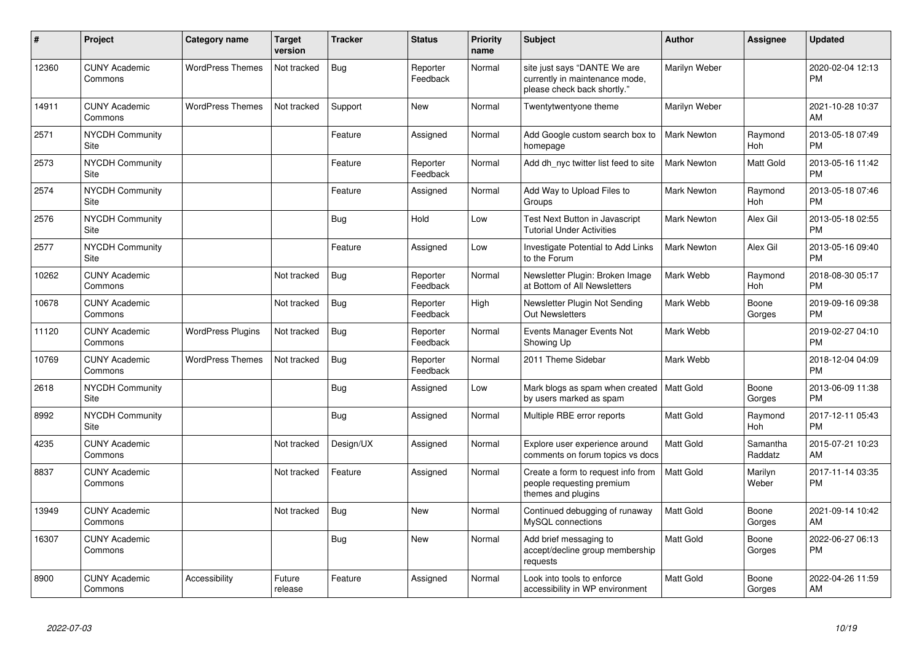| ∦     | Project                         | <b>Category name</b>     | <b>Target</b><br>version | <b>Tracker</b> | <b>Status</b>        | <b>Priority</b><br>name | <b>Subject</b>                                                                                | Author             | Assignee            | <b>Updated</b>                |
|-------|---------------------------------|--------------------------|--------------------------|----------------|----------------------|-------------------------|-----------------------------------------------------------------------------------------------|--------------------|---------------------|-------------------------------|
| 12360 | <b>CUNY Academic</b><br>Commons | <b>WordPress Themes</b>  | Not tracked              | <b>Bug</b>     | Reporter<br>Feedback | Normal                  | site just says "DANTE We are<br>currently in maintenance mode,<br>please check back shortly." | Marilyn Weber      |                     | 2020-02-04 12:13<br><b>PM</b> |
| 14911 | <b>CUNY Academic</b><br>Commons | <b>WordPress Themes</b>  | Not tracked              | Support        | <b>New</b>           | Normal                  | Twentytwentyone theme                                                                         | Marilyn Weber      |                     | 2021-10-28 10:37<br>AM        |
| 2571  | <b>NYCDH Community</b><br>Site  |                          |                          | Feature        | Assigned             | Normal                  | Add Google custom search box to<br>homepage                                                   | <b>Mark Newton</b> | Raymond<br>Hoh      | 2013-05-18 07:49<br><b>PM</b> |
| 2573  | NYCDH Community<br>Site         |                          |                          | Feature        | Reporter<br>Feedback | Normal                  | Add dh nyc twitter list feed to site                                                          | <b>Mark Newton</b> | Matt Gold           | 2013-05-16 11:42<br><b>PM</b> |
| 2574  | <b>NYCDH Community</b><br>Site  |                          |                          | Feature        | Assigned             | Normal                  | Add Way to Upload Files to<br>Groups                                                          | <b>Mark Newton</b> | Raymond<br>Hoh      | 2013-05-18 07:46<br><b>PM</b> |
| 2576  | <b>NYCDH Community</b><br>Site  |                          |                          | <b>Bug</b>     | Hold                 | Low                     | Test Next Button in Javascript<br><b>Tutorial Under Activities</b>                            | <b>Mark Newton</b> | Alex Gil            | 2013-05-18 02:55<br><b>PM</b> |
| 2577  | <b>NYCDH Community</b><br>Site  |                          |                          | Feature        | Assigned             | Low                     | Investigate Potential to Add Links<br>to the Forum                                            | Mark Newton        | Alex Gil            | 2013-05-16 09:40<br><b>PM</b> |
| 10262 | <b>CUNY Academic</b><br>Commons |                          | Not tracked              | Bug            | Reporter<br>Feedback | Normal                  | Newsletter Plugin: Broken Image<br>at Bottom of All Newsletters                               | Mark Webb          | Raymond<br>Hoh      | 2018-08-30 05:17<br><b>PM</b> |
| 10678 | <b>CUNY Academic</b><br>Commons |                          | Not tracked              | <b>Bug</b>     | Reporter<br>Feedback | High                    | Newsletter Plugin Not Sending<br><b>Out Newsletters</b>                                       | Mark Webb          | Boone<br>Gorges     | 2019-09-16 09:38<br><b>PM</b> |
| 11120 | <b>CUNY Academic</b><br>Commons | <b>WordPress Plugins</b> | Not tracked              | Bug            | Reporter<br>Feedback | Normal                  | Events Manager Events Not<br>Showing Up                                                       | Mark Webb          |                     | 2019-02-27 04:10<br><b>PM</b> |
| 10769 | <b>CUNY Academic</b><br>Commons | <b>WordPress Themes</b>  | Not tracked              | <b>Bug</b>     | Reporter<br>Feedback | Normal                  | 2011 Theme Sidebar                                                                            | Mark Webb          |                     | 2018-12-04 04:09<br><b>PM</b> |
| 2618  | <b>NYCDH Community</b><br>Site  |                          |                          | <b>Bug</b>     | Assigned             | Low                     | Mark blogs as spam when created   Matt Gold<br>by users marked as spam                        |                    | Boone<br>Gorges     | 2013-06-09 11:38<br><b>PM</b> |
| 8992  | <b>NYCDH Community</b><br>Site  |                          |                          | <b>Bug</b>     | Assigned             | Normal                  | Multiple RBE error reports                                                                    | <b>Matt Gold</b>   | Raymond<br>Hoh      | 2017-12-11 05:43<br><b>PM</b> |
| 4235  | <b>CUNY Academic</b><br>Commons |                          | Not tracked              | Design/UX      | Assigned             | Normal                  | Explore user experience around<br>comments on forum topics vs docs                            | <b>Matt Gold</b>   | Samantha<br>Raddatz | 2015-07-21 10:23<br>AM        |
| 8837  | <b>CUNY Academic</b><br>Commons |                          | Not tracked              | Feature        | Assigned             | Normal                  | Create a form to request info from<br>people requesting premium<br>themes and plugins         | <b>Matt Gold</b>   | Marilyn<br>Weber    | 2017-11-14 03:35<br><b>PM</b> |
| 13949 | <b>CUNY Academic</b><br>Commons |                          | Not tracked              | <b>Bug</b>     | <b>New</b>           | Normal                  | Continued debugging of runaway<br>MySQL connections                                           | <b>Matt Gold</b>   | Boone<br>Gorges     | 2021-09-14 10:42<br>AM        |
| 16307 | <b>CUNY Academic</b><br>Commons |                          |                          | <b>Bug</b>     | <b>New</b>           | Normal                  | Add brief messaging to<br>accept/decline group membership<br>requests                         | <b>Matt Gold</b>   | Boone<br>Gorges     | 2022-06-27 06:13<br><b>PM</b> |
| 8900  | <b>CUNY Academic</b><br>Commons | Accessibility            | Future<br>release        | Feature        | Assigned             | Normal                  | Look into tools to enforce<br>accessibility in WP environment                                 | <b>Matt Gold</b>   | Boone<br>Gorges     | 2022-04-26 11:59<br>AM        |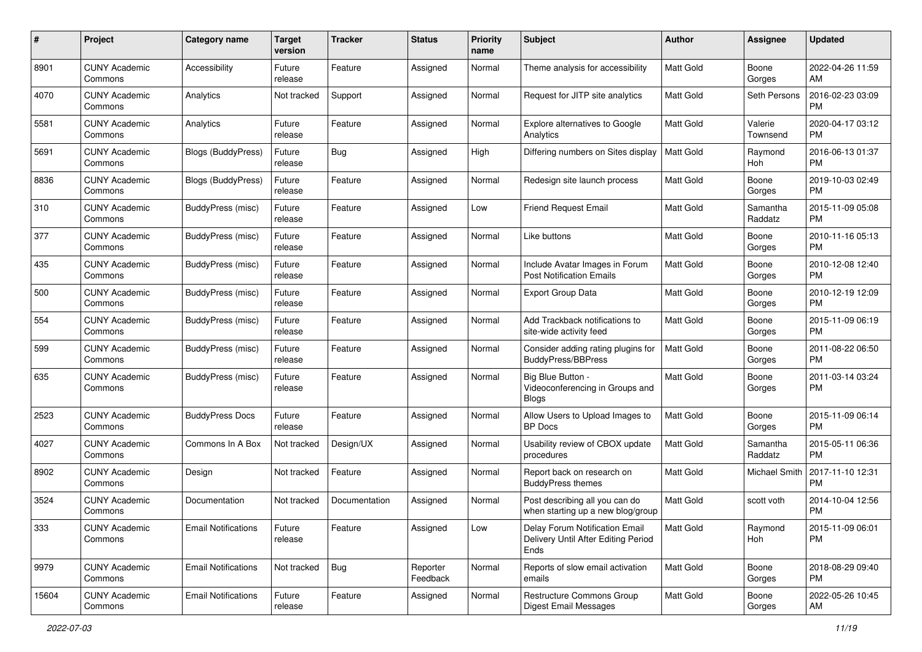| #     | Project                         | <b>Category name</b>       | <b>Target</b><br>version | <b>Tracker</b> | <b>Status</b>        | Priority<br>name | <b>Subject</b>                                                                | <b>Author</b>    | Assignee            | <b>Updated</b>                |
|-------|---------------------------------|----------------------------|--------------------------|----------------|----------------------|------------------|-------------------------------------------------------------------------------|------------------|---------------------|-------------------------------|
| 8901  | <b>CUNY Academic</b><br>Commons | Accessibility              | Future<br>release        | Feature        | Assigned             | Normal           | Theme analysis for accessibility                                              | <b>Matt Gold</b> | Boone<br>Gorges     | 2022-04-26 11:59<br>AM.       |
| 4070  | <b>CUNY Academic</b><br>Commons | Analytics                  | Not tracked              | Support        | Assigned             | Normal           | Request for JITP site analytics                                               | <b>Matt Gold</b> | Seth Persons        | 2016-02-23 03:09<br><b>PM</b> |
| 5581  | <b>CUNY Academic</b><br>Commons | Analytics                  | Future<br>release        | Feature        | Assigned             | Normal           | Explore alternatives to Google<br>Analytics                                   | Matt Gold        | Valerie<br>Townsend | 2020-04-17 03:12<br>PM.       |
| 5691  | <b>CUNY Academic</b><br>Commons | Blogs (BuddyPress)         | Future<br>release        | Bug            | Assigned             | High             | Differing numbers on Sites display                                            | <b>Matt Gold</b> | Raymond<br>Hoh      | 2016-06-13 01:37<br><b>PM</b> |
| 8836  | <b>CUNY Academic</b><br>Commons | Blogs (BuddyPress)         | Future<br>release        | Feature        | Assigned             | Normal           | Redesign site launch process                                                  | Matt Gold        | Boone<br>Gorges     | 2019-10-03 02:49<br><b>PM</b> |
| 310   | <b>CUNY Academic</b><br>Commons | BuddyPress (misc)          | Future<br>release        | Feature        | Assigned             | Low              | <b>Friend Request Email</b>                                                   | Matt Gold        | Samantha<br>Raddatz | 2015-11-09 05:08<br><b>PM</b> |
| 377   | <b>CUNY Academic</b><br>Commons | BuddyPress (misc)          | Future<br>release        | Feature        | Assigned             | Normal           | Like buttons                                                                  | Matt Gold        | Boone<br>Gorges     | 2010-11-16 05:13<br><b>PM</b> |
| 435   | <b>CUNY Academic</b><br>Commons | BuddyPress (misc)          | Future<br>release        | Feature        | Assigned             | Normal           | Include Avatar Images in Forum<br><b>Post Notification Emails</b>             | <b>Matt Gold</b> | Boone<br>Gorges     | 2010-12-08 12:40<br>PM.       |
| 500   | <b>CUNY Academic</b><br>Commons | BuddyPress (misc)          | Future<br>release        | Feature        | Assigned             | Normal           | Export Group Data                                                             | <b>Matt Gold</b> | Boone<br>Gorges     | 2010-12-19 12:09<br><b>PM</b> |
| 554   | <b>CUNY Academic</b><br>Commons | <b>BuddyPress (misc)</b>   | Future<br>release        | Feature        | Assigned             | Normal           | Add Trackback notifications to<br>site-wide activity feed                     | <b>Matt Gold</b> | Boone<br>Gorges     | 2015-11-09 06:19<br>PM.       |
| 599   | <b>CUNY Academic</b><br>Commons | <b>BuddyPress</b> (misc)   | Future<br>release        | Feature        | Assigned             | Normal           | Consider adding rating plugins for<br>BuddyPress/BBPress                      | Matt Gold        | Boone<br>Gorges     | 2011-08-22 06:50<br>PM.       |
| 635   | <b>CUNY Academic</b><br>Commons | <b>BuddyPress</b> (misc)   | Future<br>release        | Feature        | Assigned             | Normal           | Big Blue Button -<br>Videoconferencing in Groups and<br>Blogs                 | Matt Gold        | Boone<br>Gorges     | 2011-03-14 03:24<br>PM.       |
| 2523  | <b>CUNY Academic</b><br>Commons | <b>BuddyPress Docs</b>     | Future<br>release        | Feature        | Assigned             | Normal           | Allow Users to Upload Images to<br><b>BP</b> Docs                             | <b>Matt Gold</b> | Boone<br>Gorges     | 2015-11-09 06:14<br>PM.       |
| 4027  | <b>CUNY Academic</b><br>Commons | Commons In A Box           | Not tracked              | Design/UX      | Assigned             | Normal           | Usability review of CBOX update<br>procedures                                 | <b>Matt Gold</b> | Samantha<br>Raddatz | 2015-05-11 06:36<br><b>PM</b> |
| 8902  | <b>CUNY Academic</b><br>Commons | Design                     | Not tracked              | Feature        | Assigned             | Normal           | Report back on research on<br><b>BuddyPress themes</b>                        | Matt Gold        | Michael Smith       | 2017-11-10 12:31<br><b>PM</b> |
| 3524  | <b>CUNY Academic</b><br>Commons | Documentation              | Not tracked              | Documentation  | Assigned             | Normal           | Post describing all you can do<br>when starting up a new blog/group           | <b>Matt Gold</b> | scott voth          | 2014-10-04 12:56<br><b>PM</b> |
| 333   | <b>CUNY Academic</b><br>Commons | <b>Email Notifications</b> | Future<br>release        | Feature        | Assigned             | Low              | Delay Forum Notification Email<br>Delivery Until After Editing Period<br>Ends | <b>Matt Gold</b> | Raymond<br>Hoh      | 2015-11-09 06:01<br><b>PM</b> |
| 9979  | <b>CUNY Academic</b><br>Commons | <b>Email Notifications</b> | Not tracked              | Bug            | Reporter<br>Feedback | Normal           | Reports of slow email activation<br>emails                                    | Matt Gold        | Boone<br>Gorges     | 2018-08-29 09:40<br><b>PM</b> |
| 15604 | <b>CUNY Academic</b><br>Commons | <b>Email Notifications</b> | Future<br>release        | Feature        | Assigned             | Normal           | Restructure Commons Group<br><b>Digest Email Messages</b>                     | Matt Gold        | Boone<br>Gorges     | 2022-05-26 10:45<br>AM        |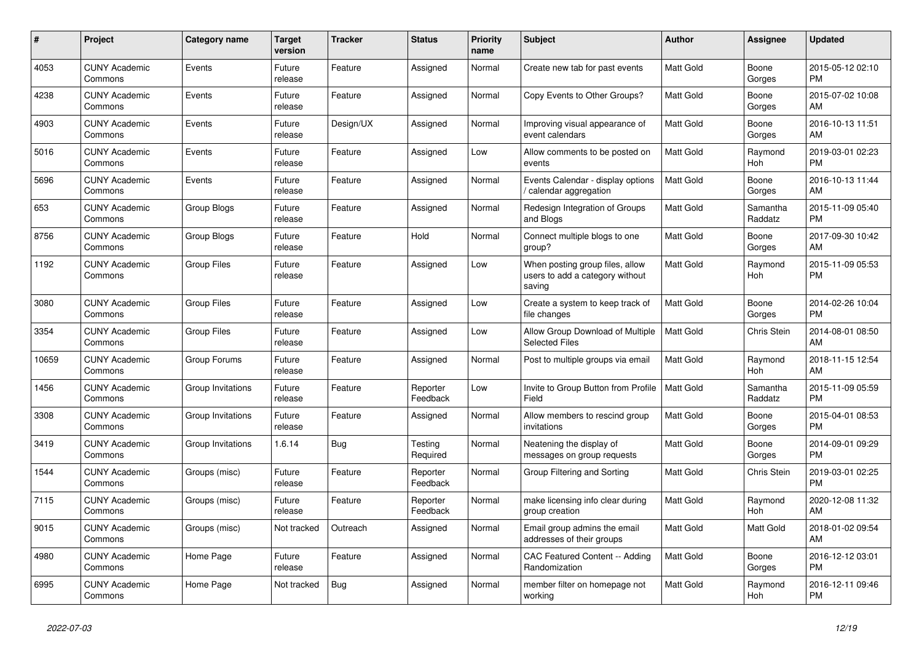| #     | Project                         | <b>Category name</b> | Target<br>version | <b>Tracker</b> | <b>Status</b>        | Priority<br>name | <b>Subject</b>                                                               | <b>Author</b>    | <b>Assignee</b>     | <b>Updated</b>                |
|-------|---------------------------------|----------------------|-------------------|----------------|----------------------|------------------|------------------------------------------------------------------------------|------------------|---------------------|-------------------------------|
| 4053  | <b>CUNY Academic</b><br>Commons | Events               | Future<br>release | Feature        | Assigned             | Normal           | Create new tab for past events                                               | <b>Matt Gold</b> | Boone<br>Gorges     | 2015-05-12 02:10<br>PM.       |
| 4238  | <b>CUNY Academic</b><br>Commons | Events               | Future<br>release | Feature        | Assigned             | Normal           | Copy Events to Other Groups?                                                 | <b>Matt Gold</b> | Boone<br>Gorges     | 2015-07-02 10:08<br>AM.       |
| 4903  | <b>CUNY Academic</b><br>Commons | Events               | Future<br>release | Design/UX      | Assigned             | Normal           | Improving visual appearance of<br>event calendars                            | <b>Matt Gold</b> | Boone<br>Gorges     | 2016-10-13 11:51<br>AM        |
| 5016  | <b>CUNY Academic</b><br>Commons | Events               | Future<br>release | Feature        | Assigned             | Low              | Allow comments to be posted on<br>events                                     | <b>Matt Gold</b> | Raymond<br>Hoh      | 2019-03-01 02:23<br><b>PM</b> |
| 5696  | <b>CUNY Academic</b><br>Commons | Events               | Future<br>release | Feature        | Assigned             | Normal           | Events Calendar - display options<br>calendar aggregation                    | <b>Matt Gold</b> | Boone<br>Gorges     | 2016-10-13 11:44<br>AM        |
| 653   | <b>CUNY Academic</b><br>Commons | Group Blogs          | Future<br>release | Feature        | Assigned             | Normal           | Redesign Integration of Groups<br>and Blogs                                  | <b>Matt Gold</b> | Samantha<br>Raddatz | 2015-11-09 05:40<br><b>PM</b> |
| 8756  | <b>CUNY Academic</b><br>Commons | Group Blogs          | Future<br>release | Feature        | Hold                 | Normal           | Connect multiple blogs to one<br>group?                                      | <b>Matt Gold</b> | Boone<br>Gorges     | 2017-09-30 10:42<br>AM        |
| 1192  | <b>CUNY Academic</b><br>Commons | <b>Group Files</b>   | Future<br>release | Feature        | Assigned             | Low              | When posting group files, allow<br>users to add a category without<br>saving | <b>Matt Gold</b> | Raymond<br>Hoh      | 2015-11-09 05:53<br>PM        |
| 3080  | <b>CUNY Academic</b><br>Commons | <b>Group Files</b>   | Future<br>release | Feature        | Assigned             | Low              | Create a system to keep track of<br>file changes                             | <b>Matt Gold</b> | Boone<br>Gorges     | 2014-02-26 10:04<br><b>PM</b> |
| 3354  | <b>CUNY Academic</b><br>Commons | <b>Group Files</b>   | Future<br>release | Feature        | Assigned             | Low              | Allow Group Download of Multiple<br><b>Selected Files</b>                    | Matt Gold        | Chris Stein         | 2014-08-01 08:50<br>AM        |
| 10659 | <b>CUNY Academic</b><br>Commons | Group Forums         | Future<br>release | Feature        | Assigned             | Normal           | Post to multiple groups via email                                            | <b>Matt Gold</b> | Raymond<br>Hoh      | 2018-11-15 12:54<br>AM        |
| 1456  | <b>CUNY Academic</b><br>Commons | Group Invitations    | Future<br>release | Feature        | Reporter<br>Feedback | Low              | Invite to Group Button from Profile<br>Field                                 | <b>Matt Gold</b> | Samantha<br>Raddatz | 2015-11-09 05:59<br><b>PM</b> |
| 3308  | <b>CUNY Academic</b><br>Commons | Group Invitations    | Future<br>release | Feature        | Assigned             | Normal           | Allow members to rescind group<br>invitations                                | <b>Matt Gold</b> | Boone<br>Gorges     | 2015-04-01 08:53<br><b>PM</b> |
| 3419  | <b>CUNY Academic</b><br>Commons | Group Invitations    | 1.6.14            | Bug            | Testing<br>Required  | Normal           | Neatening the display of<br>messages on group requests                       | Matt Gold        | Boone<br>Gorges     | 2014-09-01 09:29<br><b>PM</b> |
| 1544  | <b>CUNY Academic</b><br>Commons | Groups (misc)        | Future<br>release | Feature        | Reporter<br>Feedback | Normal           | Group Filtering and Sorting                                                  | Matt Gold        | <b>Chris Stein</b>  | 2019-03-01 02:25<br><b>PM</b> |
| 7115  | <b>CUNY Academic</b><br>Commons | Groups (misc)        | Future<br>release | Feature        | Reporter<br>Feedback | Normal           | make licensing info clear during<br>group creation                           | <b>Matt Gold</b> | Raymond<br>Hoh      | 2020-12-08 11:32<br><b>AM</b> |
| 9015  | <b>CUNY Academic</b><br>Commons | Groups (misc)        | Not tracked       | Outreach       | Assigned             | Normal           | Email group admins the email<br>addresses of their groups                    | <b>Matt Gold</b> | Matt Gold           | 2018-01-02 09:54<br><b>AM</b> |
| 4980  | <b>CUNY Academic</b><br>Commons | Home Page            | Future<br>release | Feature        | Assigned             | Normal           | CAC Featured Content -- Adding<br>Randomization                              | <b>Matt Gold</b> | Boone<br>Gorges     | 2016-12-12 03:01<br><b>PM</b> |
| 6995  | <b>CUNY Academic</b><br>Commons | Home Page            | Not tracked       | Bug            | Assigned             | Normal           | member filter on homepage not<br>working                                     | Matt Gold        | Raymond<br>Hoh      | 2016-12-11 09:46<br><b>PM</b> |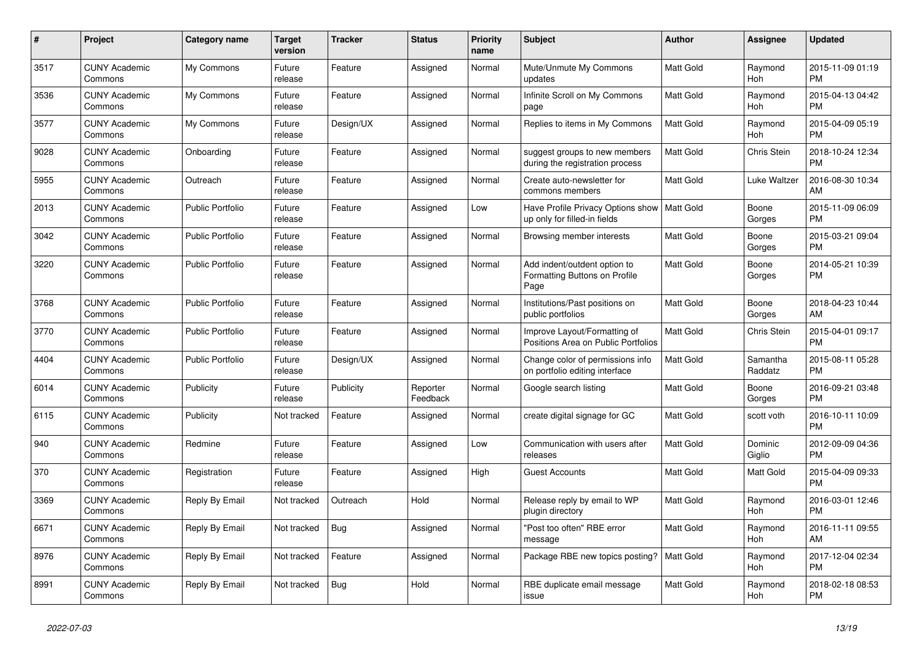| #    | <b>Project</b>                  | <b>Category name</b>    | <b>Target</b><br>version | <b>Tracker</b> | <b>Status</b>        | <b>Priority</b><br>name | <b>Subject</b>                                                                | <b>Author</b>    | Assignee            | <b>Updated</b>                |
|------|---------------------------------|-------------------------|--------------------------|----------------|----------------------|-------------------------|-------------------------------------------------------------------------------|------------------|---------------------|-------------------------------|
| 3517 | <b>CUNY Academic</b><br>Commons | My Commons              | Future<br>release        | Feature        | Assigned             | Normal                  | Mute/Unmute My Commons<br>updates                                             | <b>Matt Gold</b> | Raymond<br>Hoh      | 2015-11-09 01:19<br><b>PM</b> |
| 3536 | <b>CUNY Academic</b><br>Commons | My Commons              | Future<br>release        | Feature        | Assigned             | Normal                  | Infinite Scroll on My Commons<br>page                                         | Matt Gold        | Raymond<br>Hoh      | 2015-04-13 04:42<br><b>PM</b> |
| 3577 | <b>CUNY Academic</b><br>Commons | My Commons              | Future<br>release        | Design/UX      | Assigned             | Normal                  | Replies to items in My Commons                                                | <b>Matt Gold</b> | Raymond<br>Hoh      | 2015-04-09 05:19<br><b>PM</b> |
| 9028 | <b>CUNY Academic</b><br>Commons | Onboarding              | Future<br>release        | Feature        | Assigned             | Normal                  | suggest groups to new members<br>during the registration process              | Matt Gold        | Chris Stein         | 2018-10-24 12:34<br><b>PM</b> |
| 5955 | <b>CUNY Academic</b><br>Commons | Outreach                | Future<br>release        | Feature        | Assigned             | Normal                  | Create auto-newsletter for<br>commons members                                 | Matt Gold        | Luke Waltzer        | 2016-08-30 10:34<br>AM        |
| 2013 | <b>CUNY Academic</b><br>Commons | <b>Public Portfolio</b> | Future<br>release        | Feature        | Assigned             | Low                     | Have Profile Privacy Options show   Matt Gold<br>up only for filled-in fields |                  | Boone<br>Gorges     | 2015-11-09 06:09<br><b>PM</b> |
| 3042 | <b>CUNY Academic</b><br>Commons | <b>Public Portfolio</b> | Future<br>release        | Feature        | Assigned             | Normal                  | Browsing member interests                                                     | Matt Gold        | Boone<br>Gorges     | 2015-03-21 09:04<br><b>PM</b> |
| 3220 | <b>CUNY Academic</b><br>Commons | <b>Public Portfolio</b> | Future<br>release        | Feature        | Assigned             | Normal                  | Add indent/outdent option to<br>Formatting Buttons on Profile<br>Page         | <b>Matt Gold</b> | Boone<br>Gorges     | 2014-05-21 10:39<br>PM        |
| 3768 | <b>CUNY Academic</b><br>Commons | <b>Public Portfolio</b> | Future<br>release        | Feature        | Assigned             | Normal                  | Institutions/Past positions on<br>public portfolios                           | <b>Matt Gold</b> | Boone<br>Gorges     | 2018-04-23 10:44<br>AM        |
| 3770 | <b>CUNY Academic</b><br>Commons | <b>Public Portfolio</b> | Future<br>release        | Feature        | Assigned             | Normal                  | Improve Layout/Formatting of<br>Positions Area on Public Portfolios           | <b>Matt Gold</b> | <b>Chris Stein</b>  | 2015-04-01 09:17<br><b>PM</b> |
| 4404 | <b>CUNY Academic</b><br>Commons | <b>Public Portfolio</b> | Future<br>release        | Design/UX      | Assigned             | Normal                  | Change color of permissions info<br>on portfolio editing interface            | Matt Gold        | Samantha<br>Raddatz | 2015-08-11 05:28<br><b>PM</b> |
| 6014 | <b>CUNY Academic</b><br>Commons | Publicity               | Future<br>release        | Publicity      | Reporter<br>Feedback | Normal                  | Google search listing                                                         | <b>Matt Gold</b> | Boone<br>Gorges     | 2016-09-21 03:48<br><b>PM</b> |
| 6115 | <b>CUNY Academic</b><br>Commons | Publicity               | Not tracked              | Feature        | Assigned             | Normal                  | create digital signage for GC                                                 | Matt Gold        | scott voth          | 2016-10-11 10:09<br><b>PM</b> |
| 940  | <b>CUNY Academic</b><br>Commons | Redmine                 | Future<br>release        | Feature        | Assigned             | Low                     | Communication with users after<br>releases                                    | Matt Gold        | Dominic<br>Giglio   | 2012-09-09 04:36<br><b>PM</b> |
| 370  | <b>CUNY Academic</b><br>Commons | Registration            | Future<br>release        | Feature        | Assigned             | High                    | Guest Accounts                                                                | Matt Gold        | Matt Gold           | 2015-04-09 09:33<br><b>PM</b> |
| 3369 | <b>CUNY Academic</b><br>Commons | Reply By Email          | Not tracked              | Outreach       | Hold                 | Normal                  | Release reply by email to WP<br>plugin directory                              | <b>Matt Gold</b> | Raymond<br>Hoh      | 2016-03-01 12:46<br><b>PM</b> |
| 6671 | <b>CUNY Academic</b><br>Commons | Reply By Email          | Not tracked              | Bug            | Assigned             | Normal                  | "Post too often" RBE error<br>message                                         | Matt Gold        | Raymond<br>Hoh      | 2016-11-11 09:55<br>AM        |
| 8976 | <b>CUNY Academic</b><br>Commons | Reply By Email          | Not tracked              | Feature        | Assigned             | Normal                  | Package RBE new topics posting?                                               | Matt Gold        | Raymond<br>Hoh      | 2017-12-04 02:34<br><b>PM</b> |
| 8991 | <b>CUNY Academic</b><br>Commons | Reply By Email          | Not tracked              | <b>Bug</b>     | Hold                 | Normal                  | RBE duplicate email message<br>issue                                          | <b>Matt Gold</b> | Raymond<br>Hoh      | 2018-02-18 08:53<br><b>PM</b> |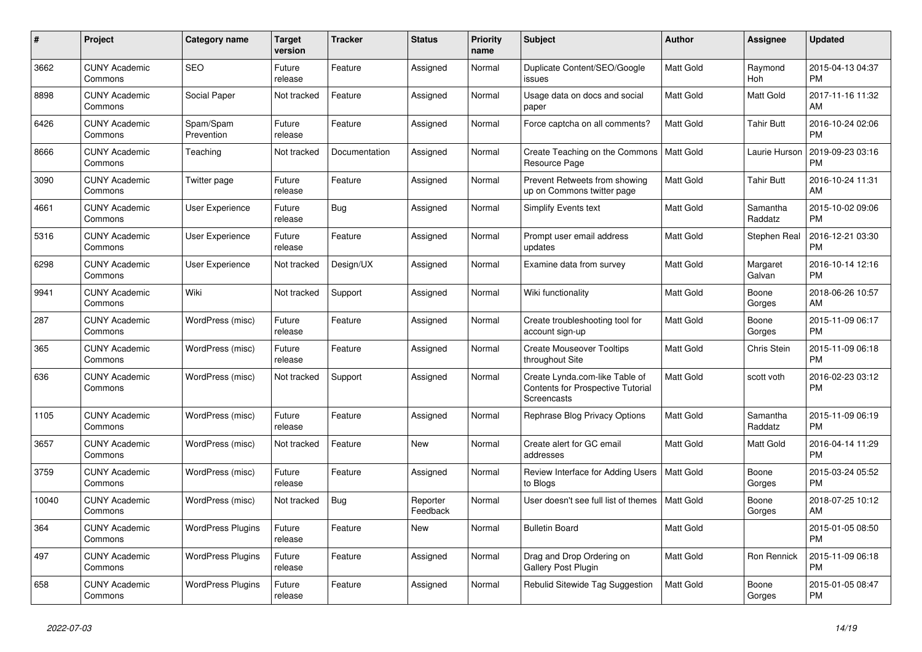| $\pmb{\#}$ | <b>Project</b>                  | Category name            | <b>Target</b><br>version | <b>Tracker</b> | <b>Status</b>        | <b>Priority</b><br>name | <b>Subject</b>                                                                            | <b>Author</b>    | Assignee            | <b>Updated</b>                |
|------------|---------------------------------|--------------------------|--------------------------|----------------|----------------------|-------------------------|-------------------------------------------------------------------------------------------|------------------|---------------------|-------------------------------|
| 3662       | <b>CUNY Academic</b><br>Commons | <b>SEO</b>               | Future<br>release        | Feature        | Assigned             | Normal                  | Duplicate Content/SEO/Google<br>issues                                                    | <b>Matt Gold</b> | Raymond<br>Hoh      | 2015-04-13 04:37<br><b>PM</b> |
| 8898       | <b>CUNY Academic</b><br>Commons | Social Paper             | Not tracked              | Feature        | Assigned             | Normal                  | Usage data on docs and social<br>paper                                                    | Matt Gold        | Matt Gold           | 2017-11-16 11:32<br>AM        |
| 6426       | <b>CUNY Academic</b><br>Commons | Spam/Spam<br>Prevention  | Future<br>release        | Feature        | Assigned             | Normal                  | Force captcha on all comments?                                                            | Matt Gold        | Tahir Butt          | 2016-10-24 02:06<br><b>PM</b> |
| 8666       | <b>CUNY Academic</b><br>Commons | Teaching                 | Not tracked              | Documentation  | Assigned             | Normal                  | Create Teaching on the Commons<br>Resource Page                                           | Matt Gold        | Laurie Hurson       | 2019-09-23 03:16<br><b>PM</b> |
| 3090       | <b>CUNY Academic</b><br>Commons | Twitter page             | Future<br>release        | Feature        | Assigned             | Normal                  | Prevent Retweets from showing<br>up on Commons twitter page                               | Matt Gold        | <b>Tahir Butt</b>   | 2016-10-24 11:31<br>AM        |
| 4661       | <b>CUNY Academic</b><br>Commons | User Experience          | Future<br>release        | Bug            | Assigned             | Normal                  | Simplify Events text                                                                      | Matt Gold        | Samantha<br>Raddatz | 2015-10-02 09:06<br><b>PM</b> |
| 5316       | <b>CUNY Academic</b><br>Commons | <b>User Experience</b>   | Future<br>release        | Feature        | Assigned             | Normal                  | Prompt user email address<br>updates                                                      | Matt Gold        | Stephen Real        | 2016-12-21 03:30<br><b>PM</b> |
| 6298       | <b>CUNY Academic</b><br>Commons | <b>User Experience</b>   | Not tracked              | Design/UX      | Assigned             | Normal                  | Examine data from survey                                                                  | <b>Matt Gold</b> | Margaret<br>Galvan  | 2016-10-14 12:16<br><b>PM</b> |
| 9941       | <b>CUNY Academic</b><br>Commons | Wiki                     | Not tracked              | Support        | Assigned             | Normal                  | Wiki functionality                                                                        | Matt Gold        | Boone<br>Gorges     | 2018-06-26 10:57<br>AM        |
| 287        | <b>CUNY Academic</b><br>Commons | WordPress (misc)         | Future<br>release        | Feature        | Assigned             | Normal                  | Create troubleshooting tool for<br>account sign-up                                        | <b>Matt Gold</b> | Boone<br>Gorges     | 2015-11-09 06:17<br><b>PM</b> |
| 365        | <b>CUNY Academic</b><br>Commons | WordPress (misc)         | Future<br>release        | Feature        | Assigned             | Normal                  | <b>Create Mouseover Tooltips</b><br>throughout Site                                       | Matt Gold        | Chris Stein         | 2015-11-09 06:18<br><b>PM</b> |
| 636        | <b>CUNY Academic</b><br>Commons | WordPress (misc)         | Not tracked              | Support        | Assigned             | Normal                  | Create Lynda.com-like Table of<br><b>Contents for Prospective Tutorial</b><br>Screencasts | Matt Gold        | scott voth          | 2016-02-23 03:12<br><b>PM</b> |
| 1105       | <b>CUNY Academic</b><br>Commons | WordPress (misc)         | Future<br>release        | Feature        | Assigned             | Normal                  | Rephrase Blog Privacy Options                                                             | Matt Gold        | Samantha<br>Raddatz | 2015-11-09 06:19<br><b>PM</b> |
| 3657       | <b>CUNY Academic</b><br>Commons | WordPress (misc)         | Not tracked              | Feature        | New                  | Normal                  | Create alert for GC email<br>addresses                                                    | Matt Gold        | Matt Gold           | 2016-04-14 11:29<br><b>PM</b> |
| 3759       | <b>CUNY Academic</b><br>Commons | WordPress (misc)         | Future<br>release        | Feature        | Assigned             | Normal                  | Review Interface for Adding Users<br>to Blogs                                             | Matt Gold        | Boone<br>Gorges     | 2015-03-24 05:52<br><b>PM</b> |
| 10040      | <b>CUNY Academic</b><br>Commons | WordPress (misc)         | Not tracked              | Bug            | Reporter<br>Feedback | Normal                  | User doesn't see full list of themes                                                      | Matt Gold        | Boone<br>Gorges     | 2018-07-25 10:12<br>AM        |
| 364        | <b>CUNY Academic</b><br>Commons | <b>WordPress Plugins</b> | Future<br>release        | Feature        | New                  | Normal                  | <b>Bulletin Board</b>                                                                     | Matt Gold        |                     | 2015-01-05 08:50<br><b>PM</b> |
| 497        | <b>CUNY Academic</b><br>Commons | <b>WordPress Plugins</b> | Future<br>release        | Feature        | Assigned             | Normal                  | Drag and Drop Ordering on<br>Gallery Post Plugin                                          | <b>Matt Gold</b> | Ron Rennick         | 2015-11-09 06:18<br><b>PM</b> |
| 658        | <b>CUNY Academic</b><br>Commons | <b>WordPress Plugins</b> | Future<br>release        | Feature        | Assigned             | Normal                  | Rebulid Sitewide Tag Suggestion                                                           | <b>Matt Gold</b> | Boone<br>Gorges     | 2015-01-05 08:47<br><b>PM</b> |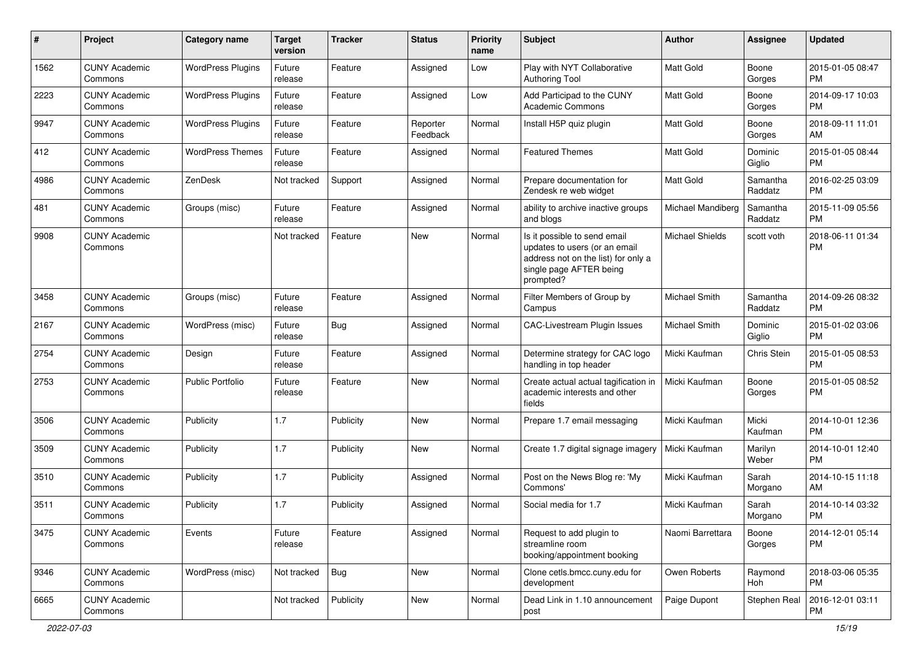| #    | Project                         | <b>Category name</b>     | <b>Target</b><br>version | <b>Tracker</b> | <b>Status</b>        | <b>Priority</b><br>name | <b>Subject</b>                                                                                                                               | Author                 | <b>Assignee</b>     | <b>Updated</b>                |
|------|---------------------------------|--------------------------|--------------------------|----------------|----------------------|-------------------------|----------------------------------------------------------------------------------------------------------------------------------------------|------------------------|---------------------|-------------------------------|
| 1562 | <b>CUNY Academic</b><br>Commons | <b>WordPress Plugins</b> | Future<br>release        | Feature        | Assigned             | Low                     | Play with NYT Collaborative<br><b>Authoring Tool</b>                                                                                         | <b>Matt Gold</b>       | Boone<br>Gorges     | 2015-01-05 08:47<br><b>PM</b> |
| 2223 | <b>CUNY Academic</b><br>Commons | <b>WordPress Plugins</b> | Future<br>release        | Feature        | Assigned             | Low                     | Add Participad to the CUNY<br><b>Academic Commons</b>                                                                                        | <b>Matt Gold</b>       | Boone<br>Gorges     | 2014-09-17 10:03<br><b>PM</b> |
| 9947 | <b>CUNY Academic</b><br>Commons | <b>WordPress Plugins</b> | Future<br>release        | Feature        | Reporter<br>Feedback | Normal                  | Install H5P quiz plugin                                                                                                                      | <b>Matt Gold</b>       | Boone<br>Gorges     | 2018-09-11 11:01<br>AM        |
| 412  | <b>CUNY Academic</b><br>Commons | <b>WordPress Themes</b>  | Future<br>release        | Feature        | Assigned             | Normal                  | <b>Featured Themes</b>                                                                                                                       | <b>Matt Gold</b>       | Dominic<br>Giglio   | 2015-01-05 08:44<br><b>PM</b> |
| 4986 | <b>CUNY Academic</b><br>Commons | ZenDesk                  | Not tracked              | Support        | Assigned             | Normal                  | Prepare documentation for<br>Zendesk re web widget                                                                                           | <b>Matt Gold</b>       | Samantha<br>Raddatz | 2016-02-25 03:09<br><b>PM</b> |
| 481  | <b>CUNY Academic</b><br>Commons | Groups (misc)            | Future<br>release        | Feature        | Assigned             | Normal                  | ability to archive inactive groups<br>and blogs                                                                                              | Michael Mandiberg      | Samantha<br>Raddatz | 2015-11-09 05:56<br><b>PM</b> |
| 9908 | <b>CUNY Academic</b><br>Commons |                          | Not tracked              | Feature        | New                  | Normal                  | Is it possible to send email<br>updates to users (or an email<br>address not on the list) for only a<br>single page AFTER being<br>prompted? | <b>Michael Shields</b> | scott voth          | 2018-06-11 01:34<br><b>PM</b> |
| 3458 | <b>CUNY Academic</b><br>Commons | Groups (misc)            | Future<br>release        | Feature        | Assigned             | Normal                  | Filter Members of Group by<br>Campus                                                                                                         | Michael Smith          | Samantha<br>Raddatz | 2014-09-26 08:32<br><b>PM</b> |
| 2167 | <b>CUNY Academic</b><br>Commons | WordPress (misc)         | Future<br>release        | Bug            | Assigned             | Normal                  | <b>CAC-Livestream Plugin Issues</b>                                                                                                          | Michael Smith          | Dominic<br>Giglio   | 2015-01-02 03:06<br><b>PM</b> |
| 2754 | <b>CUNY Academic</b><br>Commons | Design                   | Future<br>release        | Feature        | Assigned             | Normal                  | Determine strategy for CAC logo<br>handling in top header                                                                                    | Micki Kaufman          | Chris Stein         | 2015-01-05 08:53<br><b>PM</b> |
| 2753 | <b>CUNY Academic</b><br>Commons | Public Portfolio         | Future<br>release        | Feature        | New                  | Normal                  | Create actual actual tagification in<br>academic interests and other<br>fields                                                               | Micki Kaufman          | Boone<br>Gorges     | 2015-01-05 08:52<br><b>PM</b> |
| 3506 | <b>CUNY Academic</b><br>Commons | Publicity                | 1.7                      | Publicity      | <b>New</b>           | Normal                  | Prepare 1.7 email messaging                                                                                                                  | Micki Kaufman          | Micki<br>Kaufman    | 2014-10-01 12:36<br><b>PM</b> |
| 3509 | <b>CUNY Academic</b><br>Commons | Publicity                | 1.7                      | Publicity      | <b>New</b>           | Normal                  | Create 1.7 digital signage imagery                                                                                                           | Micki Kaufman          | Marilyn<br>Weber    | 2014-10-01 12:40<br><b>PM</b> |
| 3510 | <b>CUNY Academic</b><br>Commons | Publicity                | 1.7                      | Publicity      | Assigned             | Normal                  | Post on the News Blog re: 'My<br>Commons'                                                                                                    | Micki Kaufman          | Sarah<br>Morgano    | 2014-10-15 11:18<br>AM        |
| 3511 | <b>CUNY Academic</b><br>Commons | Publicity                | 1.7                      | Publicity      | Assigned             | Normal                  | Social media for 1.7                                                                                                                         | Micki Kaufman          | Sarah<br>Morgano    | 2014-10-14 03:32<br><b>PM</b> |
| 3475 | <b>CUNY Academic</b><br>Commons | Events                   | Future<br>release        | Feature        | Assigned             | Normal                  | Request to add plugin to<br>streamline room<br>booking/appointment booking                                                                   | Naomi Barrettara       | Boone<br>Gorges     | 2014-12-01 05:14<br><b>PM</b> |
| 9346 | <b>CUNY Academic</b><br>Commons | WordPress (misc)         | Not tracked              | <b>Bug</b>     | New                  | Normal                  | Clone cetls.bmcc.cuny.edu for<br>development                                                                                                 | Owen Roberts           | Raymond<br>Hoh      | 2018-03-06 05:35<br><b>PM</b> |
| 6665 | <b>CUNY Academic</b><br>Commons |                          | Not tracked              | Publicity      | New                  | Normal                  | Dead Link in 1.10 announcement<br>post                                                                                                       | Paige Dupont           | Stephen Real        | 2016-12-01 03:11<br>PM        |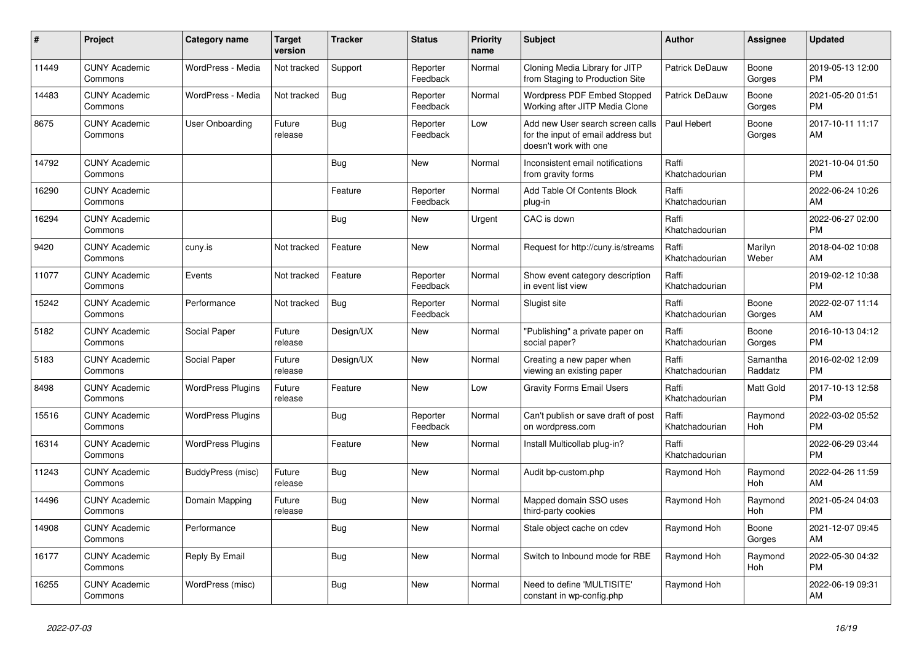| #     | Project                         | <b>Category name</b>     | <b>Target</b><br>version | <b>Tracker</b> | <b>Status</b>        | Priority<br>name | <b>Subject</b>                                                                                  | <b>Author</b>           | Assignee            | <b>Updated</b>                |
|-------|---------------------------------|--------------------------|--------------------------|----------------|----------------------|------------------|-------------------------------------------------------------------------------------------------|-------------------------|---------------------|-------------------------------|
| 11449 | <b>CUNY Academic</b><br>Commons | WordPress - Media        | Not tracked              | Support        | Reporter<br>Feedback | Normal           | Cloning Media Library for JITP<br>from Staging to Production Site                               | Patrick DeDauw          | Boone<br>Gorges     | 2019-05-13 12:00<br><b>PM</b> |
| 14483 | <b>CUNY Academic</b><br>Commons | WordPress - Media        | Not tracked              | Bug            | Reporter<br>Feedback | Normal           | Wordpress PDF Embed Stopped<br>Working after JITP Media Clone                                   | Patrick DeDauw          | Boone<br>Gorges     | 2021-05-20 01:51<br><b>PM</b> |
| 8675  | <b>CUNY Academic</b><br>Commons | User Onboarding          | Future<br>release        | Bug            | Reporter<br>Feedback | Low              | Add new User search screen calls<br>for the input of email address but<br>doesn't work with one | Paul Hebert             | Boone<br>Gorges     | 2017-10-11 11:17<br>AM        |
| 14792 | <b>CUNY Academic</b><br>Commons |                          |                          | <b>Bug</b>     | <b>New</b>           | Normal           | Inconsistent email notifications<br>from gravity forms                                          | Raffi<br>Khatchadourian |                     | 2021-10-04 01:50<br><b>PM</b> |
| 16290 | <b>CUNY Academic</b><br>Commons |                          |                          | Feature        | Reporter<br>Feedback | Normal           | Add Table Of Contents Block<br>plug-in                                                          | Raffi<br>Khatchadourian |                     | 2022-06-24 10:26<br>AM        |
| 16294 | <b>CUNY Academic</b><br>Commons |                          |                          | Bug            | New                  | Urgent           | CAC is down                                                                                     | Raffi<br>Khatchadourian |                     | 2022-06-27 02:00<br><b>PM</b> |
| 9420  | <b>CUNY Academic</b><br>Commons | cuny.is                  | Not tracked              | Feature        | <b>New</b>           | Normal           | Request for http://cuny.is/streams                                                              | Raffi<br>Khatchadourian | Marilyn<br>Weber    | 2018-04-02 10:08<br>AM        |
| 11077 | <b>CUNY Academic</b><br>Commons | Events                   | Not tracked              | Feature        | Reporter<br>Feedback | Normal           | Show event category description<br>in event list view                                           | Raffi<br>Khatchadourian |                     | 2019-02-12 10:38<br><b>PM</b> |
| 15242 | <b>CUNY Academic</b><br>Commons | Performance              | Not tracked              | Bug            | Reporter<br>Feedback | Normal           | Slugist site                                                                                    | Raffi<br>Khatchadourian | Boone<br>Gorges     | 2022-02-07 11:14<br>AM        |
| 5182  | <b>CUNY Academic</b><br>Commons | Social Paper             | Future<br>release        | Design/UX      | <b>New</b>           | Normal           | "Publishing" a private paper on<br>social paper?                                                | Raffi<br>Khatchadourian | Boone<br>Gorges     | 2016-10-13 04:12<br><b>PM</b> |
| 5183  | <b>CUNY Academic</b><br>Commons | Social Paper             | Future<br>release        | Design/UX      | New                  | Normal           | Creating a new paper when<br>viewing an existing paper                                          | Raffi<br>Khatchadourian | Samantha<br>Raddatz | 2016-02-02 12:09<br><b>PM</b> |
| 8498  | <b>CUNY Academic</b><br>Commons | <b>WordPress Plugins</b> | Future<br>release        | Feature        | <b>New</b>           | Low              | <b>Gravity Forms Email Users</b>                                                                | Raffi<br>Khatchadourian | Matt Gold           | 2017-10-13 12:58<br><b>PM</b> |
| 15516 | <b>CUNY Academic</b><br>Commons | <b>WordPress Plugins</b> |                          | Bug            | Reporter<br>Feedback | Normal           | Can't publish or save draft of post<br>on wordpress.com                                         | Raffi<br>Khatchadourian | Raymond<br>Hoh      | 2022-03-02 05:52<br><b>PM</b> |
| 16314 | <b>CUNY Academic</b><br>Commons | <b>WordPress Plugins</b> |                          | Feature        | New                  | Normal           | Install Multicollab plug-in?                                                                    | Raffi<br>Khatchadourian |                     | 2022-06-29 03:44<br><b>PM</b> |
| 11243 | <b>CUNY Academic</b><br>Commons | BuddyPress (misc)        | Future<br>release        | Bug            | <b>New</b>           | Normal           | Audit bp-custom.php                                                                             | Raymond Hoh             | Raymond<br>Hoh      | 2022-04-26 11:59<br>AM        |
| 14496 | <b>CUNY Academic</b><br>Commons | Domain Mapping           | Future<br>release        | Bug            | <b>New</b>           | Normal           | Mapped domain SSO uses<br>third-party cookies                                                   | Raymond Hoh             | Raymond<br>Hoh      | 2021-05-24 04:03<br><b>PM</b> |
| 14908 | <b>CUNY Academic</b><br>Commons | Performance              |                          | Bug            | <b>New</b>           | Normal           | Stale object cache on cdev                                                                      | Raymond Hoh             | Boone<br>Gorges     | 2021-12-07 09:45<br>AM        |
| 16177 | <b>CUNY Academic</b><br>Commons | Reply By Email           |                          | Bug            | New                  | Normal           | Switch to Inbound mode for RBE                                                                  | Raymond Hoh             | Raymond<br>Hoh      | 2022-05-30 04:32<br><b>PM</b> |
| 16255 | <b>CUNY Academic</b><br>Commons | WordPress (misc)         |                          | Bug            | <b>New</b>           | Normal           | Need to define 'MULTISITE'<br>constant in wp-config.php                                         | Raymond Hoh             |                     | 2022-06-19 09:31<br>AM        |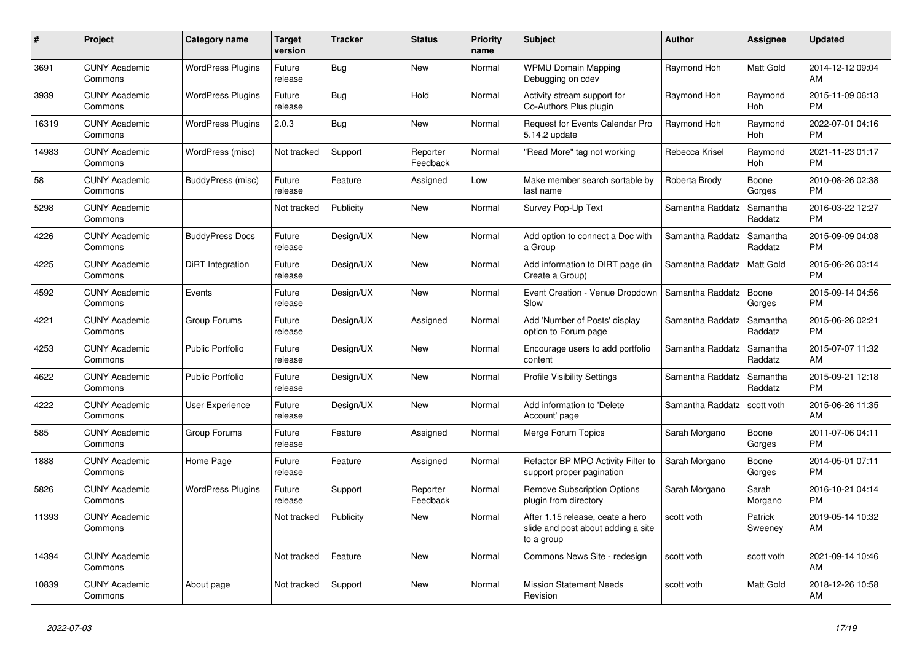| #     | Project                         | Category name            | <b>Target</b><br>version | <b>Tracker</b> | <b>Status</b>        | <b>Priority</b><br>name | <b>Subject</b>                                                                       | <b>Author</b>    | Assignee            | <b>Updated</b>                |
|-------|---------------------------------|--------------------------|--------------------------|----------------|----------------------|-------------------------|--------------------------------------------------------------------------------------|------------------|---------------------|-------------------------------|
| 3691  | <b>CUNY Academic</b><br>Commons | <b>WordPress Plugins</b> | Future<br>release        | <b>Bug</b>     | New                  | Normal                  | <b>WPMU Domain Mapping</b><br>Debugging on cdev                                      | Raymond Hoh      | Matt Gold           | 2014-12-12 09:04<br>AM        |
| 3939  | <b>CUNY Academic</b><br>Commons | <b>WordPress Plugins</b> | Future<br>release        | Bug            | Hold                 | Normal                  | Activity stream support for<br>Co-Authors Plus plugin                                | Raymond Hoh      | Raymond<br>Hoh      | 2015-11-09 06:13<br><b>PM</b> |
| 16319 | <b>CUNY Academic</b><br>Commons | <b>WordPress Plugins</b> | 2.0.3                    | Bug            | New                  | Normal                  | Request for Events Calendar Pro<br>5.14.2 update                                     | Raymond Hoh      | Raymond<br>Hoh      | 2022-07-01 04:16<br><b>PM</b> |
| 14983 | <b>CUNY Academic</b><br>Commons | WordPress (misc)         | Not tracked              | Support        | Reporter<br>Feedback | Normal                  | "Read More" tag not working                                                          | Rebecca Krisel   | Raymond<br>Hoh      | 2021-11-23 01:17<br><b>PM</b> |
| 58    | <b>CUNY Academic</b><br>Commons | BuddyPress (misc)        | Future<br>release        | Feature        | Assigned             | Low                     | Make member search sortable by<br>last name                                          | Roberta Brody    | Boone<br>Gorges     | 2010-08-26 02:38<br><b>PM</b> |
| 5298  | <b>CUNY Academic</b><br>Commons |                          | Not tracked              | Publicity      | New                  | Normal                  | Survey Pop-Up Text                                                                   | Samantha Raddatz | Samantha<br>Raddatz | 2016-03-22 12:27<br><b>PM</b> |
| 4226  | <b>CUNY Academic</b><br>Commons | <b>BuddyPress Docs</b>   | Future<br>release        | Design/UX      | <b>New</b>           | Normal                  | Add option to connect a Doc with<br>a Group                                          | Samantha Raddatz | Samantha<br>Raddatz | 2015-09-09 04:08<br><b>PM</b> |
| 4225  | <b>CUNY Academic</b><br>Commons | <b>DiRT</b> Integration  | Future<br>release        | Design/UX      | <b>New</b>           | Normal                  | Add information to DIRT page (in<br>Create a Group)                                  | Samantha Raddatz | Matt Gold           | 2015-06-26 03:14<br><b>PM</b> |
| 4592  | <b>CUNY Academic</b><br>Commons | Events                   | Future<br>release        | Design/UX      | New                  | Normal                  | Event Creation - Venue Dropdown<br>Slow                                              | Samantha Raddatz | Boone<br>Gorges     | 2015-09-14 04:56<br><b>PM</b> |
| 4221  | <b>CUNY Academic</b><br>Commons | Group Forums             | Future<br>release        | Design/UX      | Assigned             | Normal                  | Add 'Number of Posts' display<br>option to Forum page                                | Samantha Raddatz | Samantha<br>Raddatz | 2015-06-26 02:21<br><b>PM</b> |
| 4253  | <b>CUNY Academic</b><br>Commons | <b>Public Portfolio</b>  | Future<br>release        | Design/UX      | <b>New</b>           | Normal                  | Encourage users to add portfolio<br>content                                          | Samantha Raddatz | Samantha<br>Raddatz | 2015-07-07 11:32<br>AM        |
| 4622  | <b>CUNY Academic</b><br>Commons | <b>Public Portfolio</b>  | Future<br>release        | Design/UX      | New                  | Normal                  | <b>Profile Visibility Settings</b>                                                   | Samantha Raddatz | Samantha<br>Raddatz | 2015-09-21 12:18<br><b>PM</b> |
| 4222  | <b>CUNY Academic</b><br>Commons | <b>User Experience</b>   | Future<br>release        | Design/UX      | New                  | Normal                  | Add information to 'Delete<br>Account' page                                          | Samantha Raddatz | scott voth          | 2015-06-26 11:35<br>AM        |
| 585   | <b>CUNY Academic</b><br>Commons | Group Forums             | Future<br>release        | Feature        | Assigned             | Normal                  | Merge Forum Topics                                                                   | Sarah Morgano    | Boone<br>Gorges     | 2011-07-06 04:11<br><b>PM</b> |
| 1888  | <b>CUNY Academic</b><br>Commons | Home Page                | Future<br>release        | Feature        | Assigned             | Normal                  | Refactor BP MPO Activity Filter to<br>support proper pagination                      | Sarah Morgano    | Boone<br>Gorges     | 2014-05-01 07:11<br><b>PM</b> |
| 5826  | <b>CUNY Academic</b><br>Commons | <b>WordPress Plugins</b> | Future<br>release        | Support        | Reporter<br>Feedback | Normal                  | <b>Remove Subscription Options</b><br>plugin from directory                          | Sarah Morgano    | Sarah<br>Morgano    | 2016-10-21 04:14<br><b>PM</b> |
| 11393 | <b>CUNY Academic</b><br>Commons |                          | Not tracked              | Publicity      | <b>New</b>           | Normal                  | After 1.15 release, ceate a hero<br>slide and post about adding a site<br>to a group | scott voth       | Patrick<br>Sweeney  | 2019-05-14 10:32<br>AM        |
| 14394 | <b>CUNY Academic</b><br>Commons |                          | Not tracked              | Feature        | New                  | Normal                  | Commons News Site - redesign                                                         | scott voth       | scott voth          | 2021-09-14 10:46<br>AM        |
| 10839 | <b>CUNY Academic</b><br>Commons | About page               | Not tracked              | Support        | <b>New</b>           | Normal                  | <b>Mission Statement Needs</b><br>Revision                                           | scott voth       | Matt Gold           | 2018-12-26 10:58<br>AM        |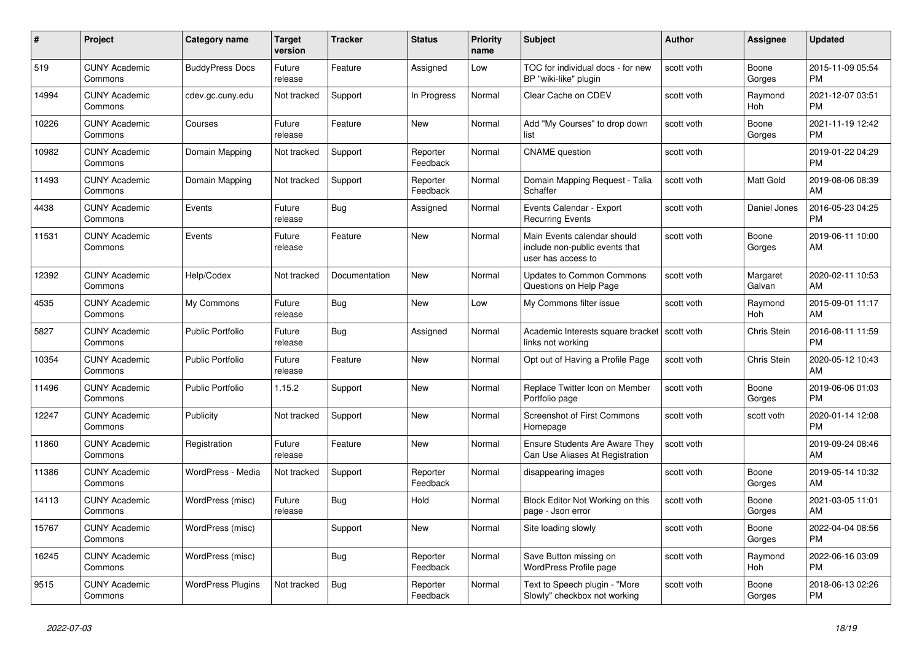| #     | Project                         | <b>Category name</b>     | <b>Target</b><br>version | <b>Tracker</b> | <b>Status</b>        | <b>Priority</b><br>name | <b>Subject</b>                                                                      | <b>Author</b> | <b>Assignee</b>    | <b>Updated</b>                |
|-------|---------------------------------|--------------------------|--------------------------|----------------|----------------------|-------------------------|-------------------------------------------------------------------------------------|---------------|--------------------|-------------------------------|
| 519   | <b>CUNY Academic</b><br>Commons | <b>BuddyPress Docs</b>   | Future<br>release        | Feature        | Assigned             | Low                     | TOC for individual docs - for new<br>BP "wiki-like" plugin                          | scott voth    | Boone<br>Gorges    | 2015-11-09 05:54<br><b>PM</b> |
| 14994 | <b>CUNY Academic</b><br>Commons | cdev.gc.cuny.edu         | Not tracked              | Support        | In Progress          | Normal                  | Clear Cache on CDEV                                                                 | scott voth    | Raymond<br>Hoh     | 2021-12-07 03:51<br><b>PM</b> |
| 10226 | <b>CUNY Academic</b><br>Commons | Courses                  | Future<br>release        | Feature        | New                  | Normal                  | Add "My Courses" to drop down<br>list                                               | scott voth    | Boone<br>Gorges    | 2021-11-19 12:42<br><b>PM</b> |
| 10982 | <b>CUNY Academic</b><br>Commons | Domain Mapping           | Not tracked              | Support        | Reporter<br>Feedback | Normal                  | <b>CNAME</b> question                                                               | scott voth    |                    | 2019-01-22 04:29<br><b>PM</b> |
| 11493 | <b>CUNY Academic</b><br>Commons | Domain Mapping           | Not tracked              | Support        | Reporter<br>Feedback | Normal                  | Domain Mapping Request - Talia<br>Schaffer                                          | scott voth    | Matt Gold          | 2019-08-06 08:39<br>AM        |
| 4438  | <b>CUNY Academic</b><br>Commons | Events                   | Future<br>release        | Bug            | Assigned             | Normal                  | Events Calendar - Export<br><b>Recurring Events</b>                                 | scott voth    | Daniel Jones       | 2016-05-23 04:25<br><b>PM</b> |
| 11531 | <b>CUNY Academic</b><br>Commons | Events                   | Future<br>release        | Feature        | <b>New</b>           | Normal                  | Main Events calendar should<br>include non-public events that<br>user has access to | scott voth    | Boone<br>Gorges    | 2019-06-11 10:00<br>AM        |
| 12392 | <b>CUNY Academic</b><br>Commons | Help/Codex               | Not tracked              | Documentation  | <b>New</b>           | Normal                  | Updates to Common Commons<br>Questions on Help Page                                 | scott voth    | Margaret<br>Galvan | 2020-02-11 10:53<br>AM        |
| 4535  | <b>CUNY Academic</b><br>Commons | My Commons               | Future<br>release        | Bug            | <b>New</b>           | Low                     | My Commons filter issue                                                             | scott voth    | Raymond<br>Hoh     | 2015-09-01 11:17<br>AM        |
| 5827  | <b>CUNY Academic</b><br>Commons | Public Portfolio         | Future<br>release        | Bug            | Assigned             | Normal                  | Academic Interests square bracket   scott voth<br>links not working                 |               | Chris Stein        | 2016-08-11 11:59<br><b>PM</b> |
| 10354 | <b>CUNY Academic</b><br>Commons | Public Portfolio         | Future<br>release        | Feature        | New                  | Normal                  | Opt out of Having a Profile Page                                                    | scott voth    | Chris Stein        | 2020-05-12 10:43<br>AM        |
| 11496 | <b>CUNY Academic</b><br>Commons | <b>Public Portfolio</b>  | 1.15.2                   | Support        | New                  | Normal                  | Replace Twitter Icon on Member<br>Portfolio page                                    | scott voth    | Boone<br>Gorges    | 2019-06-06 01:03<br><b>PM</b> |
| 12247 | <b>CUNY Academic</b><br>Commons | Publicity                | Not tracked              | Support        | <b>New</b>           | Normal                  | <b>Screenshot of First Commons</b><br>Homepage                                      | scott voth    | scott voth         | 2020-01-14 12:08<br><b>PM</b> |
| 11860 | <b>CUNY Academic</b><br>Commons | Registration             | Future<br>release        | Feature        | New                  | Normal                  | <b>Ensure Students Are Aware They</b><br>Can Use Aliases At Registration            | scott voth    |                    | 2019-09-24 08:46<br>AM        |
| 11386 | <b>CUNY Academic</b><br>Commons | WordPress - Media        | Not tracked              | Support        | Reporter<br>Feedback | Normal                  | disappearing images                                                                 | scott voth    | Boone<br>Gorges    | 2019-05-14 10:32<br>AM        |
| 14113 | <b>CUNY Academic</b><br>Commons | WordPress (misc)         | Future<br>release        | Bug            | Hold                 | Normal                  | Block Editor Not Working on this<br>page - Json error                               | scott voth    | Boone<br>Gorges    | 2021-03-05 11:01<br>AM        |
| 15767 | <b>CUNY Academic</b><br>Commons | WordPress (misc)         |                          | Support        | <b>New</b>           | Normal                  | Site loading slowly                                                                 | scott voth    | Boone<br>Gorges    | 2022-04-04 08:56<br><b>PM</b> |
| 16245 | <b>CUNY Academic</b><br>Commons | WordPress (misc)         |                          | Bug            | Reporter<br>Feedback | Normal                  | Save Button missing on<br>WordPress Profile page                                    | scott voth    | Raymond<br>Hoh     | 2022-06-16 03:09<br><b>PM</b> |
| 9515  | <b>CUNY Academic</b><br>Commons | <b>WordPress Plugins</b> | Not tracked              | <b>Bug</b>     | Reporter<br>Feedback | Normal                  | Text to Speech plugin - "More<br>Slowly" checkbox not working                       | scott voth    | Boone<br>Gorges    | 2018-06-13 02:26<br><b>PM</b> |